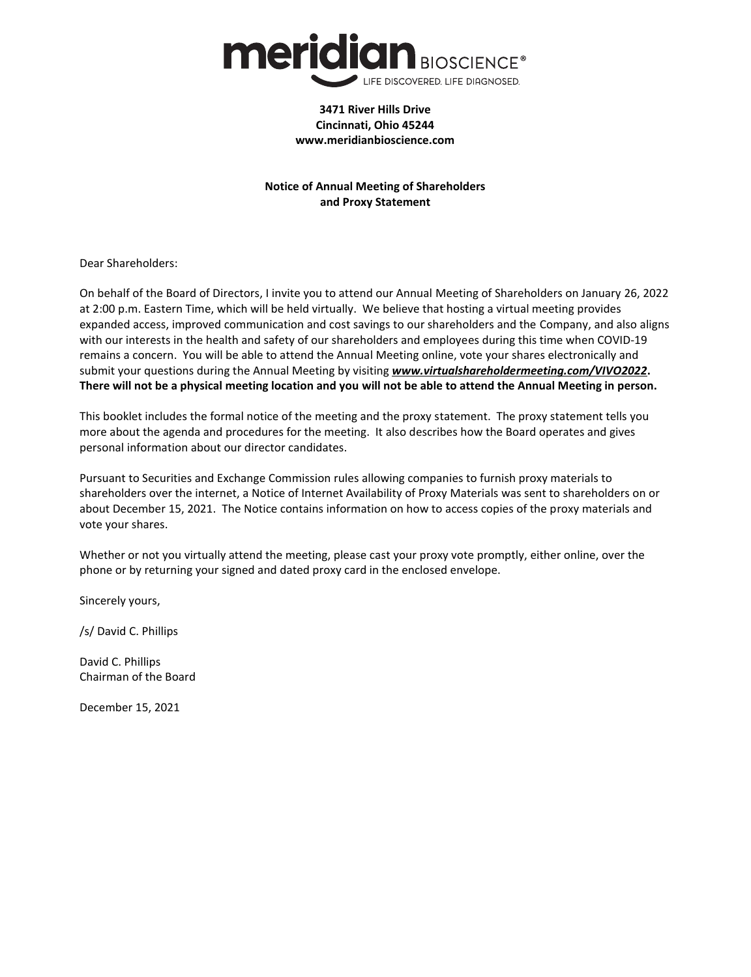

#### **3471 River Hills Drive Cincinnati, Ohio 45244 www.meridianbioscience.com**

# **Notice of Annual Meeting of Shareholders and Proxy Statement**

Dear Shareholders:

On behalf of the Board of Directors, I invite you to attend our Annual Meeting of Shareholders on January 26, 2022 at 2:00 p.m. Eastern Time, which will be held virtually. We believe that hosting a virtual meeting provides expanded access, improved communication and cost savings to our shareholders and the Company, and also aligns with our interests in the health and safety of our shareholders and employees during this time when COVID-19 remains a concern. You will be able to attend the Annual Meeting online, vote your shares electronically and submit your questions during the Annual Meeting by visiting *www.virtualshareholdermeeting.com/VIVO2022***.** There will not be a physical meeting location and you will not be able to attend the Annual Meeting in person.

This booklet includes the formal notice of the meeting and the proxy statement. The proxy statement tells you more about the agenda and procedures for the meeting. It also describes how the Board operates and gives personal information about our director candidates.

Pursuant to Securities and Exchange Commission rules allowing companies to furnish proxy materials to shareholders over the internet, a Notice of Internet Availability of Proxy Materials was sent to shareholders on or about December 15, 2021. The Notice contains information on how to access copies of the proxy materials and vote your shares.

Whether or not you virtually attend the meeting, please cast your proxy vote promptly, either online, over the phone or by returning your signed and dated proxy card in the enclosed envelope.

Sincerely yours,

/s/ David C. Phillips

David C. Phillips Chairman of the Board

December 15, 2021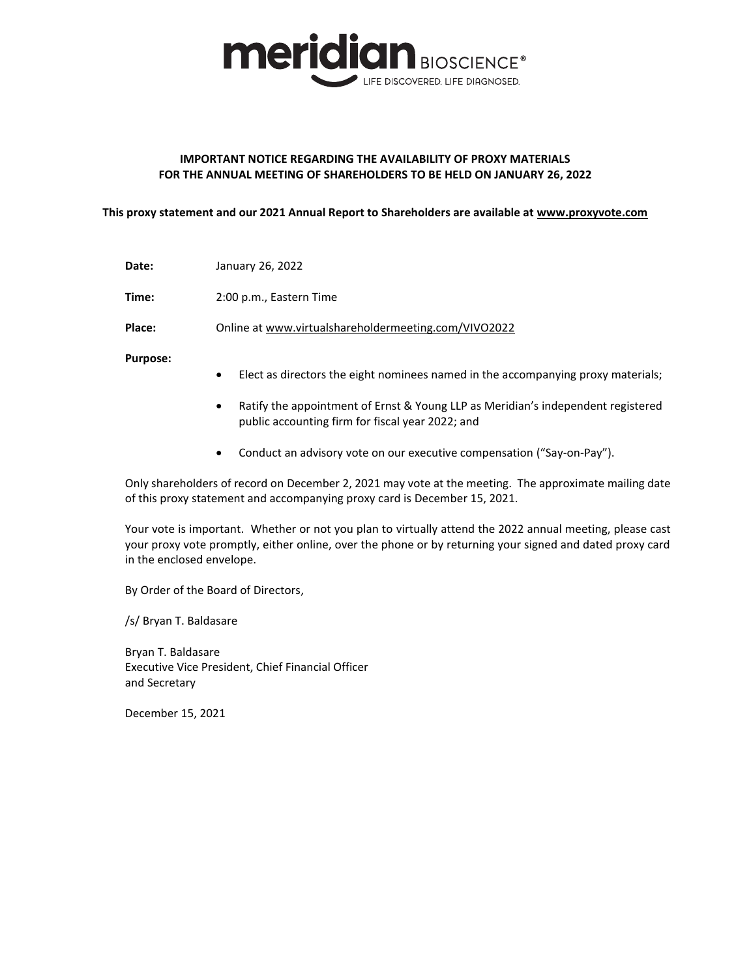

## **IMPORTANT NOTICE REGARDING THE AVAILABILITY OF PROXY MATERIALS FOR THE ANNUAL MEETING OF SHAREHOLDERS TO BE HELD ON JANUARY 26, 2022**

**This proxy statement and our 2021 Annual Report to Shareholders are available at www.proxyvote.com**

**Date:** January 26, 2022

**Time:** 2:00 p.m., Eastern Time

**Place:** Online at www.virtualshareholdermeeting.com/VIVO2022

**Purpose:**

- ‹ Elect as directors the eight nominees named in the accompanying proxy materials;
- Ratify the appointment of Ernst & Young LLP as Meridian's independent registered public accounting firm for fiscal year 2022; and
- Conduct an advisory vote on our executive compensation ("Say-on-Pay").

Only shareholders of record on December 2, 2021 may vote at the meeting. The approximate mailing date of this proxy statement and accompanying proxy card is December 15, 2021.

Your vote is important. Whether or not you plan to virtually attend the 2022 annual meeting, please cast your proxy vote promptly, either online, over the phone or by returning your signed and dated proxy card in the enclosed envelope.

By Order of the Board of Directors,

/s/ Bryan T. Baldasare

Bryan T. Baldasare Executive Vice President, Chief Financial Officer and Secretary

December 15, 2021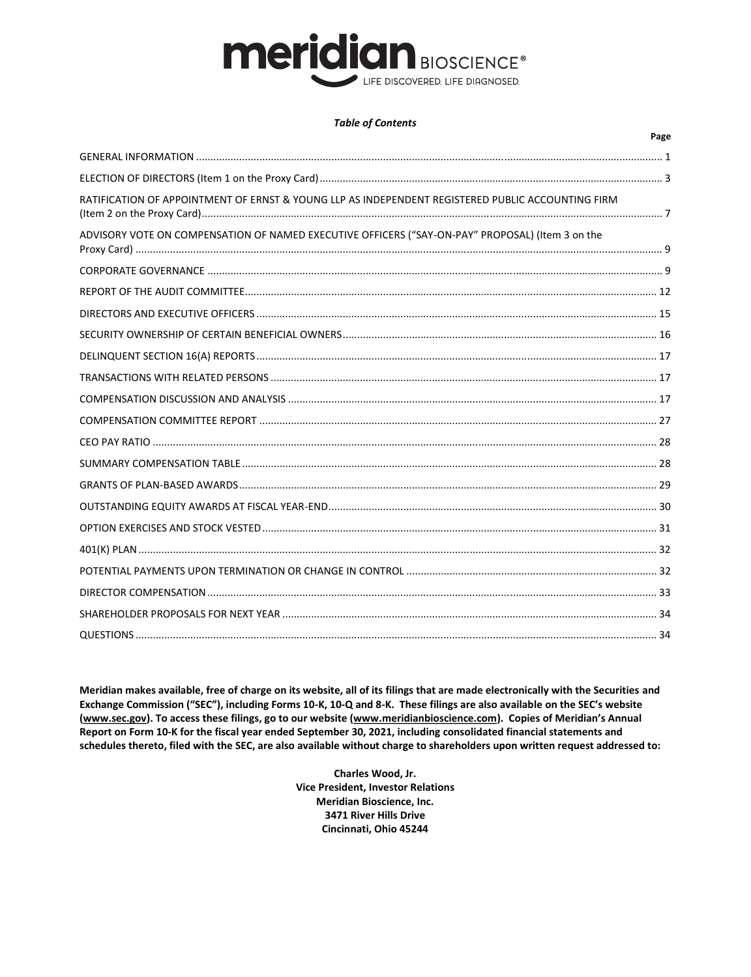# **meridian BIOSCIENCE®** LIFE DISCOVERED. LIFE DIAGNOSED.

#### **Table of Contents**

|                                                                                                   | Page |
|---------------------------------------------------------------------------------------------------|------|
|                                                                                                   |      |
|                                                                                                   |      |
| RATIFICATION OF APPOINTMENT OF ERNST & YOUNG LLP AS INDEPENDENT REGISTERED PUBLIC ACCOUNTING FIRM |      |
| ADVISORY VOTE ON COMPENSATION OF NAMED EXECUTIVE OFFICERS ("SAY-ON-PAY" PROPOSAL) (Item 3 on the  |      |
|                                                                                                   |      |
|                                                                                                   |      |
|                                                                                                   |      |
|                                                                                                   |      |
|                                                                                                   |      |
|                                                                                                   |      |
|                                                                                                   |      |
|                                                                                                   |      |
|                                                                                                   |      |
|                                                                                                   |      |
|                                                                                                   |      |
|                                                                                                   |      |
|                                                                                                   |      |
|                                                                                                   |      |
|                                                                                                   |      |
|                                                                                                   |      |
|                                                                                                   |      |
|                                                                                                   |      |

Meridian makes available, free of charge on its website, all of its filings that are made electronically with the Securities and Exchange Commission ("SEC"), including Forms 10-K, 10-Q and 8-K. These filings are also available on the SEC's website (www.sec.gov). To access these filings, go to our website (www.meridianbioscience.com). Copies of Meridian's Annual Report on Form 10-K for the fiscal year ended September 30, 2021, including consolidated financial statements and schedules thereto, filed with the SEC, are also available without charge to shareholders upon written request addressed to:

> Charles Wood, Jr. **Vice President, Investor Relations** Meridian Bioscience, Inc. 3471 River Hills Drive Cincinnati, Ohio 45244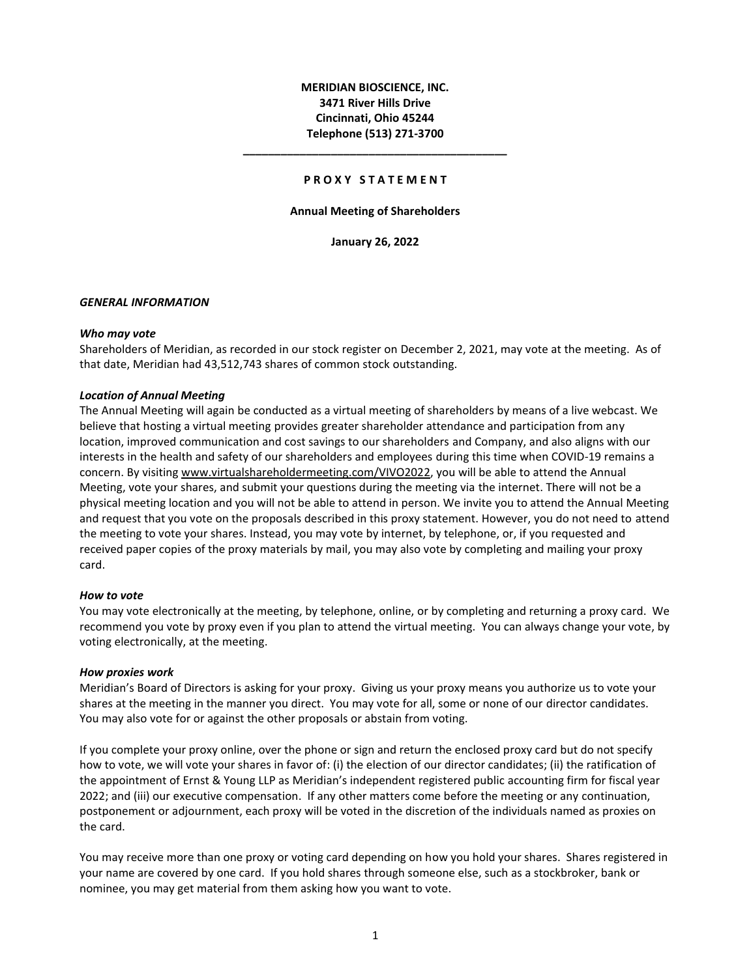# **MERIDIAN BIOSCIENCE, INC. 3471 River Hills Drive Cincinnati, Ohio 45244 Telephone (513) 271-3700**

#### **P R O X Y S T A T E M E N T**

**\_\_\_\_\_\_\_\_\_\_\_\_\_\_\_\_\_\_\_\_\_\_\_\_\_\_\_\_\_\_\_\_\_\_\_\_\_\_\_\_\_\_**

#### **Annual Meeting of Shareholders**

**January 26, 2022**

#### *GENERAL INFORMATION*

#### *Who may vote*

Shareholders of Meridian, as recorded in our stock register on December 2, 2021, may vote at the meeting. As of that date, Meridian had 43,512,743 shares of common stock outstanding.

#### *Location of Annual Meeting*

The Annual Meeting will again be conducted as a virtual meeting of shareholders by means of a live webcast. We believe that hosting a virtual meeting provides greater shareholder attendance and participation from any location, improved communication and cost savings to our shareholders and Company, and also aligns with our interests in the health and safety of our shareholders and employees during this time when COVID-19 remains a concern. By visiting www.virtualshareholdermeeting.com/VIVO2022, you will be able to attend the Annual Meeting, vote your shares, and submit your questions during the meeting via the internet. There will not be a physical meeting location and you will not be able to attend in person. We invite you to attend the Annual Meeting and request that you vote on the proposals described in this proxy statement. However, you do not need to attend the meeting to vote your shares. Instead, you may vote by internet, by telephone, or, if you requested and received paper copies of the proxy materials by mail, you may also vote by completing and mailing your proxy card.

#### *How to vote*

You may vote electronically at the meeting, by telephone, online, or by completing and returning a proxy card. We recommend you vote by proxy even if you plan to attend the virtual meeting. You can always change your vote, by voting electronically, at the meeting.

#### *How proxies work*

Meridian's Board of Directors is asking for your proxy. Giving us your proxy means you authorize us to vote your shares at the meeting in the manner you direct. You may vote for all, some or none of our director candidates. You may also vote for or against the other proposals or abstain from voting.

If you complete your proxy online, over the phone or sign and return the enclosed proxy card but do not specify how to vote, we will vote your shares in favor of: (i) the election of our director candidates; (ii) the ratification of the appointment of Ernst & Young LLP as Meridian's independent registered public accounting firm for fiscal year 2022; and (iii) our executive compensation. If any other matters come before the meeting or any continuation, postponement or adjournment, each proxy will be voted in the discretion of the individuals named as proxies on the card.

You may receive more than one proxy or voting card depending on how you hold your shares. Shares registered in your name are covered by one card. If you hold shares through someone else, such as a stockbroker, bank or nominee, you may get material from them asking how you want to vote.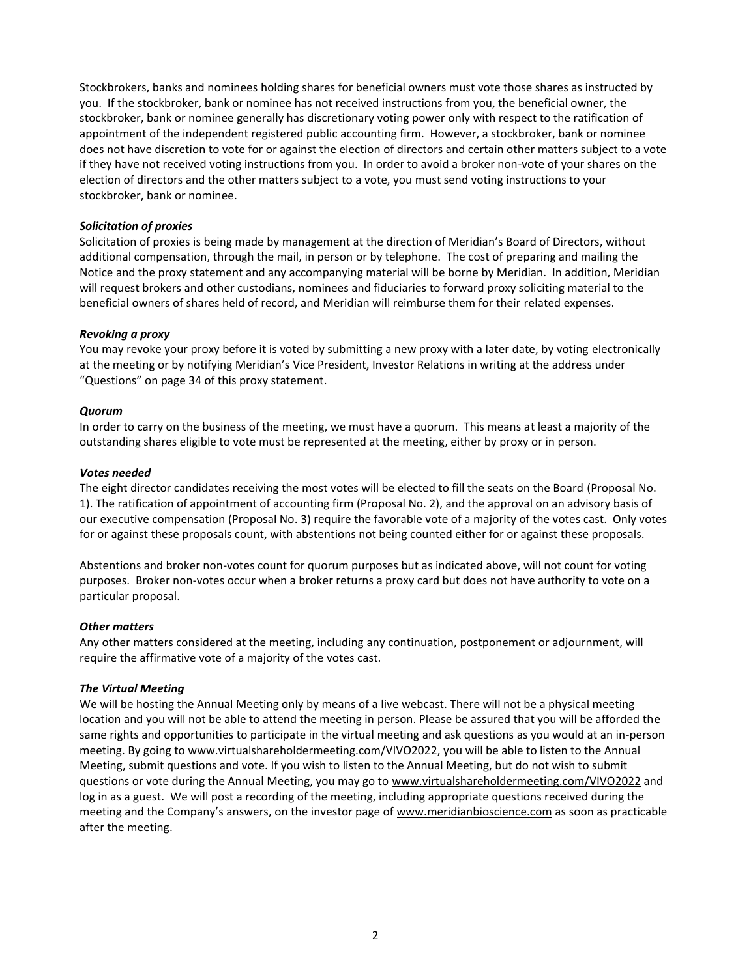Stockbrokers, banks and nominees holding shares for beneficial owners must vote those shares as instructed by you. If the stockbroker, bank or nominee has not received instructions from you, the beneficial owner, the stockbroker, bank or nominee generally has discretionary voting power only with respect to the ratification of appointment of the independent registered public accounting firm. However, a stockbroker, bank or nominee does not have discretion to vote for or against the election of directors and certain other matters subject to a vote if they have not received voting instructions from you. In order to avoid a broker non-vote of your shares on the election of directors and the other matters subject to a vote, you must send voting instructions to your stockbroker, bank or nominee.

## *Solicitation of proxies*

Solicitation of proxies is being made by management at the direction of Meridian's Board of Directors, without additional compensation, through the mail, in person or by telephone. The cost of preparing and mailing the Notice and the proxy statement and any accompanying material will be borne by Meridian. In addition, Meridian will request brokers and other custodians, nominees and fiduciaries to forward proxy soliciting material to the beneficial owners of shares held of record, and Meridian will reimburse them for their related expenses.

## *Revoking a proxy*

You may revoke your proxy before it is voted by submitting a new proxy with a later date, by voting electronically at the meeting or by notifying Meridian's Vice President, Investor Relations in writing at the address under "Questions" on page 34 of this proxy statement.

## *Quorum*

In order to carry on the business of the meeting, we must have a quorum. This means at least a majority of the outstanding shares eligible to vote must be represented at the meeting, either by proxy or in person.

#### *Votes needed*

The eight director candidates receiving the most votes will be elected to fill the seats on the Board (Proposal No. 1). The ratification of appointment of accounting firm (Proposal No. 2), and the approval on an advisory basis of our executive compensation (Proposal No. 3) require the favorable vote of a majority of the votes cast. Only votes for or against these proposals count, with abstentions not being counted either for or against these proposals.

Abstentions and broker non-votes count for quorum purposes but as indicated above, will not count for voting purposes. Broker non-votes occur when a broker returns a proxy card but does not have authority to vote on a particular proposal.

## *Other matters*

Any other matters considered at the meeting, including any continuation, postponement or adjournment, will require the affirmative vote of a majority of the votes cast.

## *The Virtual Meeting*

We will be hosting the Annual Meeting only by means of a live webcast. There will not be a physical meeting location and you will not be able to attend the meeting in person. Please be assured that you will be afforded the same rights and opportunities to participate in the virtual meeting and ask questions as you would at an in-person meeting. By going to www.virtualshareholdermeeting.com/VIVO2022, you will be able to listen to the Annual Meeting, submit questions and vote. If you wish to listen to the Annual Meeting, but do not wish to submit questions or vote during the Annual Meeting, you may go to www.virtualshareholdermeeting.com/VIVO2022 and log in as a guest. We will post a recording of the meeting, including appropriate questions received during the meeting and the Company's answers, on the investor page of www.meridianbioscience.com as soon as practicable after the meeting.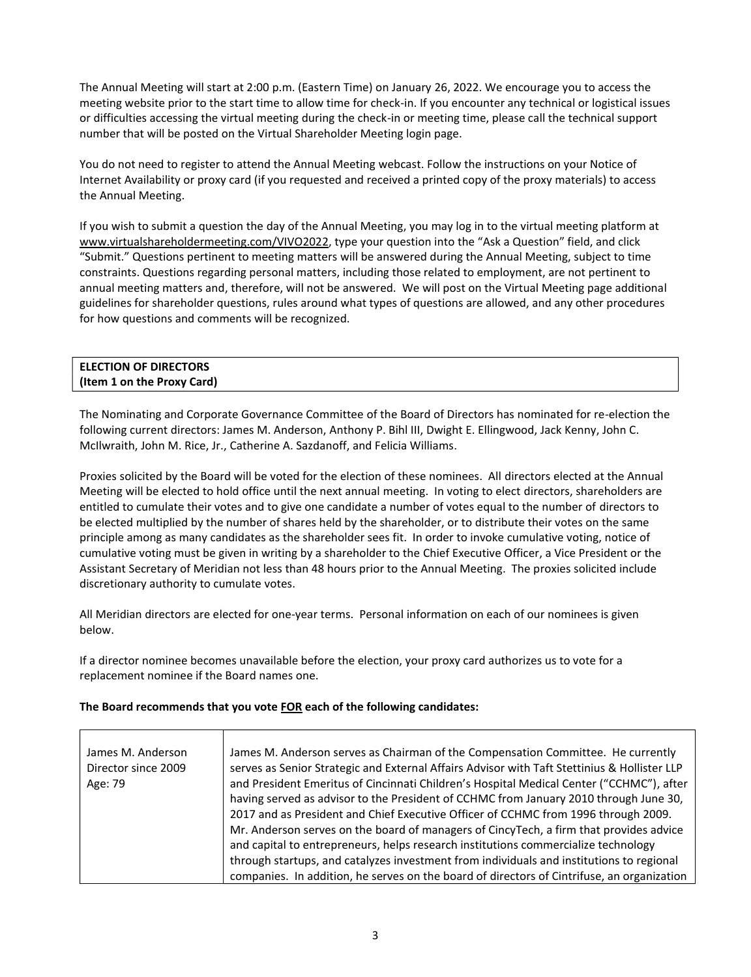The Annual Meeting will start at 2:00 p.m. (Eastern Time) on January 26, 2022. We encourage you to access the meeting website prior to the start time to allow time for check-in. If you encounter any technical or logistical issues or difficulties accessing the virtual meeting during the check-in or meeting time, please call the technical support number that will be posted on the Virtual Shareholder Meeting login page.

You do not need to register to attend the Annual Meeting webcast. Follow the instructions on your Notice of Internet Availability or proxy card (if you requested and received a printed copy of the proxy materials) to access the Annual Meeting.

If you wish to submit a question the day of the Annual Meeting, you may log in to the virtual meeting platform at www.virtualshareholdermeeting.com/VIVO2022, type your question into the "Ask a Question" field, and click "Submit." Questions pertinent to meeting matters will be answered during the Annual Meeting, subject to time constraints. Questions regarding personal matters, including those related to employment, are not pertinent to annual meeting matters and, therefore, will not be answered. We will post on the Virtual Meeting page additional guidelines for shareholder questions, rules around what types of questions are allowed, and any other procedures for how questions and comments will be recognized.

| <b>ELECTION OF DIRECTORS</b> |  |
|------------------------------|--|
| (Item 1 on the Proxy Card)   |  |
|                              |  |

The Nominating and Corporate Governance Committee of the Board of Directors has nominated for re-election the following current directors: James M. Anderson, Anthony P. Bihl III, Dwight E. Ellingwood, Jack Kenny, John C. McIlwraith, John M. Rice, Jr., Catherine A. Sazdanoff, and Felicia Williams.

Proxies solicited by the Board will be voted for the election of these nominees. All directors elected at the Annual Meeting will be elected to hold office until the next annual meeting. In voting to elect directors, shareholders are entitled to cumulate their votes and to give one candidate a number of votes equal to the number of directors to be elected multiplied by the number of shares held by the shareholder, or to distribute their votes on the same principle among as many candidates as the shareholder sees fit. In order to invoke cumulative voting, notice of cumulative voting must be given in writing by a shareholder to the Chief Executive Officer, a Vice President or the Assistant Secretary of Meridian not less than 48 hours prior to the Annual Meeting. The proxies solicited include discretionary authority to cumulate votes.

All Meridian directors are elected for one-year terms. Personal information on each of our nominees is given below.

If a director nominee becomes unavailable before the election, your proxy card authorizes us to vote for a replacement nominee if the Board names one.

## **The Board recommends that you vote FOR each of the following candidates:**

| James M. Anderson<br>Director since 2009<br>Age: 79 | James M. Anderson serves as Chairman of the Compensation Committee. He currently<br>serves as Senior Strategic and External Affairs Advisor with Taft Stettinius & Hollister LLP<br>and President Emeritus of Cincinnati Children's Hospital Medical Center ("CCHMC"), after<br>having served as advisor to the President of CCHMC from January 2010 through June 30,<br>2017 and as President and Chief Executive Officer of CCHMC from 1996 through 2009. |
|-----------------------------------------------------|-------------------------------------------------------------------------------------------------------------------------------------------------------------------------------------------------------------------------------------------------------------------------------------------------------------------------------------------------------------------------------------------------------------------------------------------------------------|
|                                                     | Mr. Anderson serves on the board of managers of CincyTech, a firm that provides advice<br>and capital to entrepreneurs, helps research institutions commercialize technology                                                                                                                                                                                                                                                                                |
|                                                     | through startups, and catalyzes investment from individuals and institutions to regional<br>companies. In addition, he serves on the board of directors of Cintrifuse, an organization                                                                                                                                                                                                                                                                      |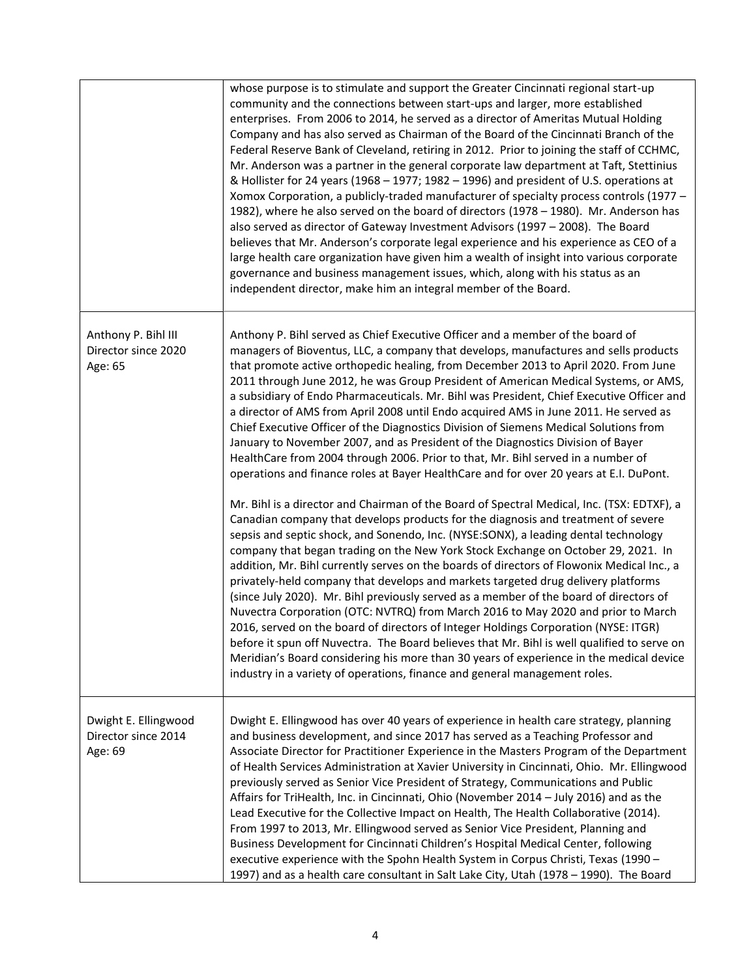|                                                        | whose purpose is to stimulate and support the Greater Cincinnati regional start-up<br>community and the connections between start-ups and larger, more established<br>enterprises. From 2006 to 2014, he served as a director of Ameritas Mutual Holding<br>Company and has also served as Chairman of the Board of the Cincinnati Branch of the<br>Federal Reserve Bank of Cleveland, retiring in 2012. Prior to joining the staff of CCHMC,<br>Mr. Anderson was a partner in the general corporate law department at Taft, Stettinius<br>& Hollister for 24 years (1968 - 1977; 1982 - 1996) and president of U.S. operations at<br>Xomox Corporation, a publicly-traded manufacturer of specialty process controls (1977 -<br>1982), where he also served on the board of directors (1978 - 1980). Mr. Anderson has<br>also served as director of Gateway Investment Advisors (1997 - 2008). The Board<br>believes that Mr. Anderson's corporate legal experience and his experience as CEO of a<br>large health care organization have given him a wealth of insight into various corporate<br>governance and business management issues, which, along with his status as an<br>independent director, make him an integral member of the Board.                                                                                                                                                                                                                                                                                                                                                                                                                                                                                                                                                                                                                                                                                                                                                |
|--------------------------------------------------------|----------------------------------------------------------------------------------------------------------------------------------------------------------------------------------------------------------------------------------------------------------------------------------------------------------------------------------------------------------------------------------------------------------------------------------------------------------------------------------------------------------------------------------------------------------------------------------------------------------------------------------------------------------------------------------------------------------------------------------------------------------------------------------------------------------------------------------------------------------------------------------------------------------------------------------------------------------------------------------------------------------------------------------------------------------------------------------------------------------------------------------------------------------------------------------------------------------------------------------------------------------------------------------------------------------------------------------------------------------------------------------------------------------------------------------------------------------------------------------------------------------------------------------------------------------------------------------------------------------------------------------------------------------------------------------------------------------------------------------------------------------------------------------------------------------------------------------------------------------------------------------------------------------------------------------------------------------------------------------------------------|
| Anthony P. Bihl III<br>Director since 2020<br>Age: 65  | Anthony P. Bihl served as Chief Executive Officer and a member of the board of<br>managers of Bioventus, LLC, a company that develops, manufactures and sells products<br>that promote active orthopedic healing, from December 2013 to April 2020. From June<br>2011 through June 2012, he was Group President of American Medical Systems, or AMS,<br>a subsidiary of Endo Pharmaceuticals. Mr. Bihl was President, Chief Executive Officer and<br>a director of AMS from April 2008 until Endo acquired AMS in June 2011. He served as<br>Chief Executive Officer of the Diagnostics Division of Siemens Medical Solutions from<br>January to November 2007, and as President of the Diagnostics Division of Bayer<br>HealthCare from 2004 through 2006. Prior to that, Mr. Bihl served in a number of<br>operations and finance roles at Bayer HealthCare and for over 20 years at E.I. DuPont.<br>Mr. Bihl is a director and Chairman of the Board of Spectral Medical, Inc. (TSX: EDTXF), a<br>Canadian company that develops products for the diagnosis and treatment of severe<br>sepsis and septic shock, and Sonendo, Inc. (NYSE:SONX), a leading dental technology<br>company that began trading on the New York Stock Exchange on October 29, 2021. In<br>addition, Mr. Bihl currently serves on the boards of directors of Flowonix Medical Inc., a<br>privately-held company that develops and markets targeted drug delivery platforms<br>(since July 2020). Mr. Bihl previously served as a member of the board of directors of<br>Nuvectra Corporation (OTC: NVTRQ) from March 2016 to May 2020 and prior to March<br>2016, served on the board of directors of Integer Holdings Corporation (NYSE: ITGR)<br>before it spun off Nuvectra. The Board believes that Mr. Bihl is well qualified to serve on<br>Meridian's Board considering his more than 30 years of experience in the medical device<br>industry in a variety of operations, finance and general management roles. |
| Dwight E. Ellingwood<br>Director since 2014<br>Age: 69 | Dwight E. Ellingwood has over 40 years of experience in health care strategy, planning<br>and business development, and since 2017 has served as a Teaching Professor and<br>Associate Director for Practitioner Experience in the Masters Program of the Department<br>of Health Services Administration at Xavier University in Cincinnati, Ohio. Mr. Ellingwood<br>previously served as Senior Vice President of Strategy, Communications and Public<br>Affairs for TriHealth, Inc. in Cincinnati, Ohio (November 2014 - July 2016) and as the<br>Lead Executive for the Collective Impact on Health, The Health Collaborative (2014).<br>From 1997 to 2013, Mr. Ellingwood served as Senior Vice President, Planning and<br>Business Development for Cincinnati Children's Hospital Medical Center, following<br>executive experience with the Spohn Health System in Corpus Christi, Texas (1990 -<br>1997) and as a health care consultant in Salt Lake City, Utah (1978 - 1990). The Board                                                                                                                                                                                                                                                                                                                                                                                                                                                                                                                                                                                                                                                                                                                                                                                                                                                                                                                                                                                                  |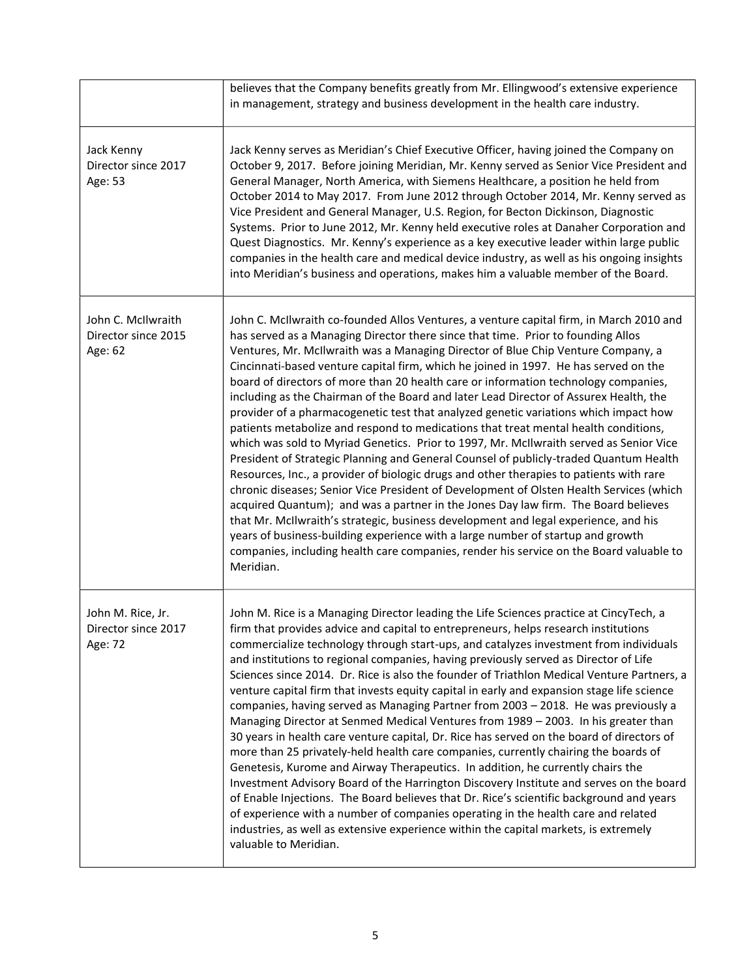|                                                      | believes that the Company benefits greatly from Mr. Ellingwood's extensive experience<br>in management, strategy and business development in the health care industry.                                                                                                                                                                                                                                                                                                                                                                                                                                                                                                                                                                                                                                                                                                                                                                                                                                                                                                                                                                                                                                                                                                                                                                                                                                                                                                  |
|------------------------------------------------------|-------------------------------------------------------------------------------------------------------------------------------------------------------------------------------------------------------------------------------------------------------------------------------------------------------------------------------------------------------------------------------------------------------------------------------------------------------------------------------------------------------------------------------------------------------------------------------------------------------------------------------------------------------------------------------------------------------------------------------------------------------------------------------------------------------------------------------------------------------------------------------------------------------------------------------------------------------------------------------------------------------------------------------------------------------------------------------------------------------------------------------------------------------------------------------------------------------------------------------------------------------------------------------------------------------------------------------------------------------------------------------------------------------------------------------------------------------------------------|
| Jack Kenny<br>Director since 2017<br>Age: 53         | Jack Kenny serves as Meridian's Chief Executive Officer, having joined the Company on<br>October 9, 2017. Before joining Meridian, Mr. Kenny served as Senior Vice President and<br>General Manager, North America, with Siemens Healthcare, a position he held from<br>October 2014 to May 2017. From June 2012 through October 2014, Mr. Kenny served as<br>Vice President and General Manager, U.S. Region, for Becton Dickinson, Diagnostic<br>Systems. Prior to June 2012, Mr. Kenny held executive roles at Danaher Corporation and<br>Quest Diagnostics. Mr. Kenny's experience as a key executive leader within large public<br>companies in the health care and medical device industry, as well as his ongoing insights<br>into Meridian's business and operations, makes him a valuable member of the Board.                                                                                                                                                                                                                                                                                                                                                                                                                                                                                                                                                                                                                                                 |
| John C. McIlwraith<br>Director since 2015<br>Age: 62 | John C. McIlwraith co-founded Allos Ventures, a venture capital firm, in March 2010 and<br>has served as a Managing Director there since that time. Prior to founding Allos<br>Ventures, Mr. McIlwraith was a Managing Director of Blue Chip Venture Company, a<br>Cincinnati-based venture capital firm, which he joined in 1997. He has served on the<br>board of directors of more than 20 health care or information technology companies,<br>including as the Chairman of the Board and later Lead Director of Assurex Health, the<br>provider of a pharmacogenetic test that analyzed genetic variations which impact how<br>patients metabolize and respond to medications that treat mental health conditions,<br>which was sold to Myriad Genetics. Prior to 1997, Mr. McIlwraith served as Senior Vice<br>President of Strategic Planning and General Counsel of publicly-traded Quantum Health<br>Resources, Inc., a provider of biologic drugs and other therapies to patients with rare<br>chronic diseases; Senior Vice President of Development of Olsten Health Services (which<br>acquired Quantum); and was a partner in the Jones Day law firm. The Board believes<br>that Mr. McIlwraith's strategic, business development and legal experience, and his<br>years of business-building experience with a large number of startup and growth<br>companies, including health care companies, render his service on the Board valuable to<br>Meridian. |
| John M. Rice, Jr.<br>Director since 2017<br>Age: 72  | John M. Rice is a Managing Director leading the Life Sciences practice at CincyTech, a<br>firm that provides advice and capital to entrepreneurs, helps research institutions<br>commercialize technology through start-ups, and catalyzes investment from individuals<br>and institutions to regional companies, having previously served as Director of Life<br>Sciences since 2014. Dr. Rice is also the founder of Triathlon Medical Venture Partners, a<br>venture capital firm that invests equity capital in early and expansion stage life science<br>companies, having served as Managing Partner from 2003 - 2018. He was previously a<br>Managing Director at Senmed Medical Ventures from 1989 - 2003. In his greater than<br>30 years in health care venture capital, Dr. Rice has served on the board of directors of<br>more than 25 privately-held health care companies, currently chairing the boards of<br>Genetesis, Kurome and Airway Therapeutics. In addition, he currently chairs the<br>Investment Advisory Board of the Harrington Discovery Institute and serves on the board<br>of Enable Injections. The Board believes that Dr. Rice's scientific background and years<br>of experience with a number of companies operating in the health care and related<br>industries, as well as extensive experience within the capital markets, is extremely<br>valuable to Meridian.                                                              |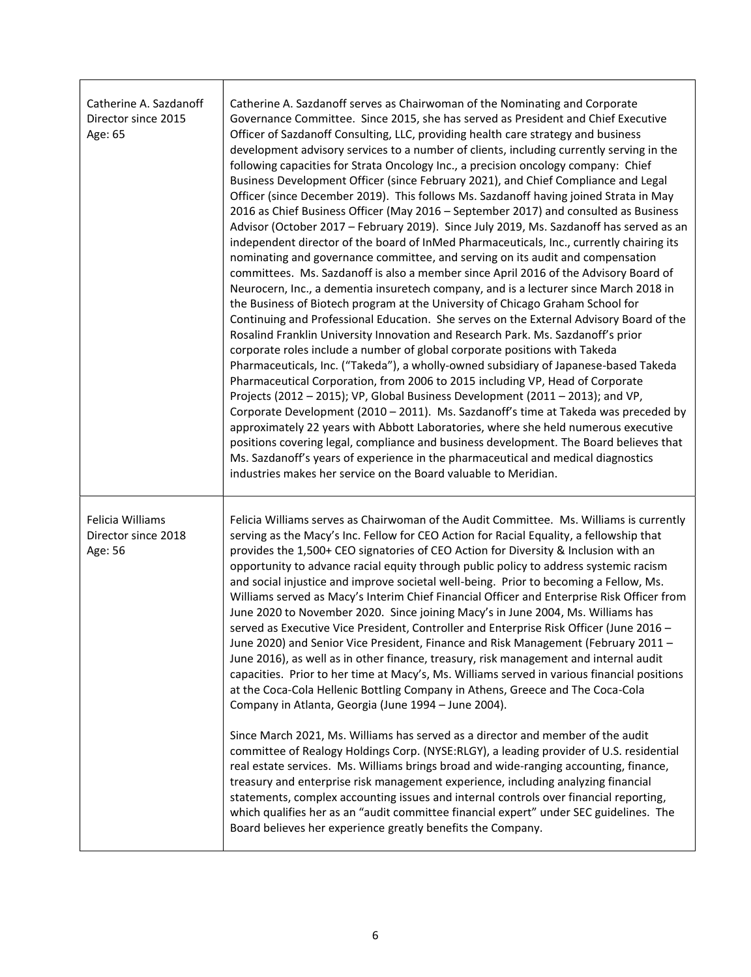| Catherine A. Sazdanoff<br>Director since 2015<br>Age: 65 | Catherine A. Sazdanoff serves as Chairwoman of the Nominating and Corporate<br>Governance Committee. Since 2015, she has served as President and Chief Executive<br>Officer of Sazdanoff Consulting, LLC, providing health care strategy and business<br>development advisory services to a number of clients, including currently serving in the<br>following capacities for Strata Oncology Inc., a precision oncology company: Chief<br>Business Development Officer (since February 2021), and Chief Compliance and Legal<br>Officer (since December 2019). This follows Ms. Sazdanoff having joined Strata in May<br>2016 as Chief Business Officer (May 2016 - September 2017) and consulted as Business<br>Advisor (October 2017 - February 2019). Since July 2019, Ms. Sazdanoff has served as an<br>independent director of the board of InMed Pharmaceuticals, Inc., currently chairing its<br>nominating and governance committee, and serving on its audit and compensation<br>committees. Ms. Sazdanoff is also a member since April 2016 of the Advisory Board of<br>Neurocern, Inc., a dementia insuretech company, and is a lecturer since March 2018 in<br>the Business of Biotech program at the University of Chicago Graham School for<br>Continuing and Professional Education. She serves on the External Advisory Board of the<br>Rosalind Franklin University Innovation and Research Park. Ms. Sazdanoff's prior<br>corporate roles include a number of global corporate positions with Takeda<br>Pharmaceuticals, Inc. ("Takeda"), a wholly-owned subsidiary of Japanese-based Takeda<br>Pharmaceutical Corporation, from 2006 to 2015 including VP, Head of Corporate<br>Projects (2012 - 2015); VP, Global Business Development (2011 - 2013); and VP,<br>Corporate Development (2010 - 2011). Ms. Sazdanoff's time at Takeda was preceded by<br>approximately 22 years with Abbott Laboratories, where she held numerous executive<br>positions covering legal, compliance and business development. The Board believes that<br>Ms. Sazdanoff's years of experience in the pharmaceutical and medical diagnostics<br>industries makes her service on the Board valuable to Meridian. |
|----------------------------------------------------------|-------------------------------------------------------------------------------------------------------------------------------------------------------------------------------------------------------------------------------------------------------------------------------------------------------------------------------------------------------------------------------------------------------------------------------------------------------------------------------------------------------------------------------------------------------------------------------------------------------------------------------------------------------------------------------------------------------------------------------------------------------------------------------------------------------------------------------------------------------------------------------------------------------------------------------------------------------------------------------------------------------------------------------------------------------------------------------------------------------------------------------------------------------------------------------------------------------------------------------------------------------------------------------------------------------------------------------------------------------------------------------------------------------------------------------------------------------------------------------------------------------------------------------------------------------------------------------------------------------------------------------------------------------------------------------------------------------------------------------------------------------------------------------------------------------------------------------------------------------------------------------------------------------------------------------------------------------------------------------------------------------------------------------------------------------------------------------------------------------------------------------------------------------------------------------------------------------------------|
| Felicia Williams<br>Director since 2018<br>Age: 56       | Felicia Williams serves as Chairwoman of the Audit Committee. Ms. Williams is currently<br>serving as the Macy's Inc. Fellow for CEO Action for Racial Equality, a fellowship that<br>provides the 1,500+ CEO signatories of CEO Action for Diversity & Inclusion with an<br>opportunity to advance racial equity through public policy to address systemic racism<br>and social injustice and improve societal well-being. Prior to becoming a Fellow, Ms.<br>Williams served as Macy's Interim Chief Financial Officer and Enterprise Risk Officer from<br>June 2020 to November 2020. Since joining Macy's in June 2004, Ms. Williams has<br>served as Executive Vice President, Controller and Enterprise Risk Officer (June 2016 -<br>June 2020) and Senior Vice President, Finance and Risk Management (February 2011 -<br>June 2016), as well as in other finance, treasury, risk management and internal audit<br>capacities. Prior to her time at Macy's, Ms. Williams served in various financial positions<br>at the Coca-Cola Hellenic Bottling Company in Athens, Greece and The Coca-Cola<br>Company in Atlanta, Georgia (June 1994 - June 2004).<br>Since March 2021, Ms. Williams has served as a director and member of the audit<br>committee of Realogy Holdings Corp. (NYSE:RLGY), a leading provider of U.S. residential<br>real estate services. Ms. Williams brings broad and wide-ranging accounting, finance,<br>treasury and enterprise risk management experience, including analyzing financial<br>statements, complex accounting issues and internal controls over financial reporting,<br>which qualifies her as an "audit committee financial expert" under SEC guidelines. The<br>Board believes her experience greatly benefits the Company.                                                                                                                                                                                                                                                                                                                                                                                                                                     |

 $\Gamma$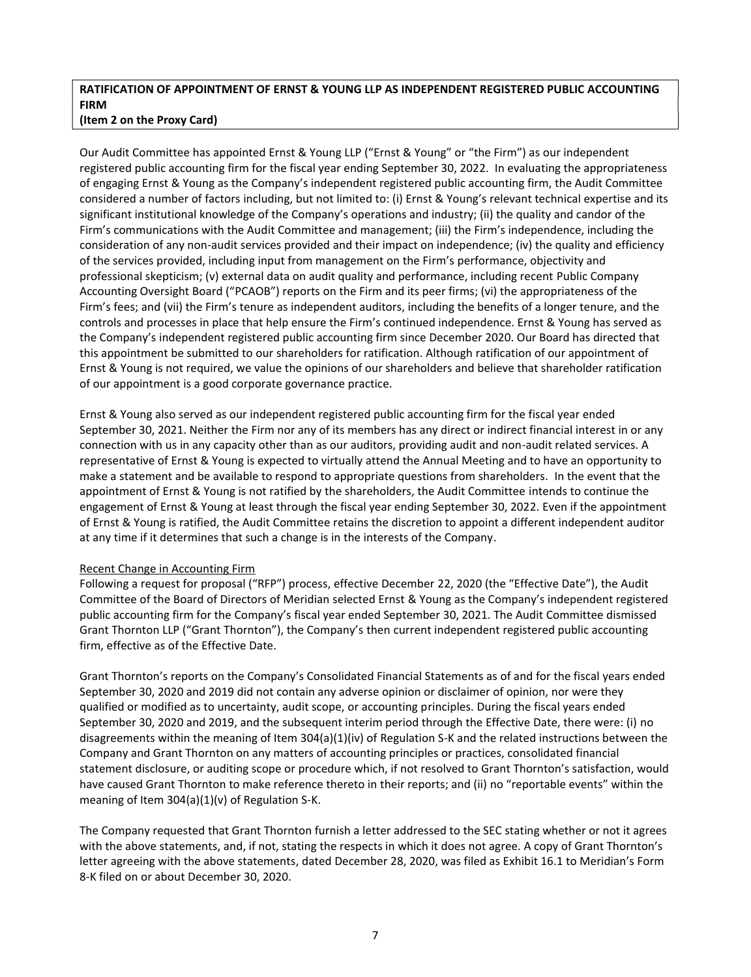# **RATIFICATION OF APPOINTMENT OF ERNST & YOUNG LLP AS INDEPENDENT REGISTERED PUBLIC ACCOUNTING FIRM**

## **(Item 2 on the Proxy Card)**

Our Audit Committee has appointed Ernst & Young LLP ("Ernst & Young" or "the Firm") as our independent registered public accounting firm for the fiscal year ending September 30, 2022. In evaluating the appropriateness of engaging Ernst & Young as the Company's independent registered public accounting firm, the Audit Committee considered a number of factors including, but not limited to: (i) Ernst & Young's relevant technical expertise and its significant institutional knowledge of the Company's operations and industry; (ii) the quality and candor of the Firm's communications with the Audit Committee and management; (iii) the Firm's independence, including the consideration of any non-audit services provided and their impact on independence; (iv) the quality and efficiency of the services provided, including input from management on the Firm's performance, objectivity and professional skepticism; (v) external data on audit quality and performance, including recent Public Company Accounting Oversight Board ("PCAOB") reports on the Firm and its peer firms; (vi) the appropriateness of the Firm's fees; and (vii) the Firm's tenure as independent auditors, including the benefits of a longer tenure, and the controls and processes in place that help ensure the Firm's continued independence. Ernst & Young has served as the Company's independent registered public accounting firm since December 2020. Our Board has directed that this appointment be submitted to our shareholders for ratification. Although ratification of our appointment of Ernst & Young is not required, we value the opinions of our shareholders and believe that shareholder ratification of our appointment is a good corporate governance practice.

Ernst & Young also served as our independent registered public accounting firm for the fiscal year ended September 30, 2021. Neither the Firm nor any of its members has any direct or indirect financial interest in or any connection with us in any capacity other than as our auditors, providing audit and non-audit related services. A representative of Ernst & Young is expected to virtually attend the Annual Meeting and to have an opportunity to make a statement and be available to respond to appropriate questions from shareholders. In the event that the appointment of Ernst & Young is not ratified by the shareholders, the Audit Committee intends to continue the engagement of Ernst & Young at least through the fiscal year ending September 30, 2022. Even if the appointment of Ernst & Young is ratified, the Audit Committee retains the discretion to appoint a different independent auditor at any time if it determines that such a change is in the interests of the Company.

# Recent Change in Accounting Firm

Following a request for proposal ("RFP") process, effective December 22, 2020 (the "Effective Date"), the Audit Committee of the Board of Directors of Meridian selected Ernst & Young as the Company's independent registered public accounting firm for the Company's fiscal year ended September 30, 2021. The Audit Committee dismissed Grant Thornton LLP ("Grant Thornton"), the Company's then current independent registered public accounting firm, effective as of the Effective Date.

Grant Thornton's reports on the Company's Consolidated Financial Statements as of and for the fiscal years ended September 30, 2020 and 2019 did not contain any adverse opinion or disclaimer of opinion, nor were they qualified or modified as to uncertainty, audit scope, or accounting principles. During the fiscal years ended September 30, 2020 and 2019, and the subsequent interim period through the Effective Date, there were: (i) no disagreements within the meaning of Item 304(a)(1)(iv) of Regulation S-K and the related instructions between the Company and Grant Thornton on any matters of accounting principles or practices, consolidated financial statement disclosure, or auditing scope or procedure which, if not resolved to Grant Thornton's satisfaction, would have caused Grant Thornton to make reference thereto in their reports; and (ii) no "reportable events" within the meaning of Item 304(a)(1)(v) of Regulation S-K.

The Company requested that Grant Thornton furnish a letter addressed to the SEC stating whether or not it agrees with the above statements, and, if not, stating the respects in which it does not agree. A copy of Grant Thornton's letter agreeing with the above statements, dated December 28, 2020, was filed as Exhibit 16.1 to Meridian's Form 8-K filed on or about December 30, 2020.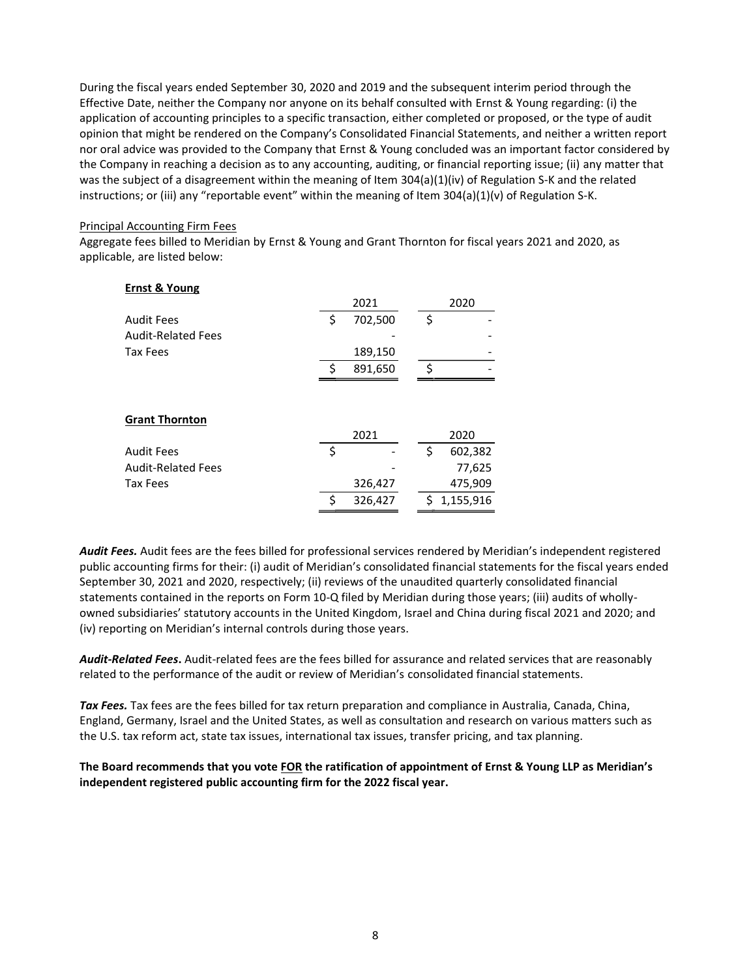During the fiscal years ended September 30, 2020 and 2019 and the subsequent interim period through the Effective Date, neither the Company nor anyone on its behalf consulted with Ernst & Young regarding: (i) the application of accounting principles to a specific transaction, either completed or proposed, or the type of audit opinion that might be rendered on the Company's Consolidated Financial Statements, and neither a written report nor oral advice was provided to the Company that Ernst & Young concluded was an important factor considered by the Company in reaching a decision as to any accounting, auditing, or financial reporting issue; (ii) any matter that was the subject of a disagreement within the meaning of Item 304(a)(1)(iv) of Regulation S-K and the related instructions; or (iii) any "reportable event" within the meaning of Item  $304(a)(1)(v)$  of Regulation S-K.

## Principal Accounting Firm Fees

Aggregate fees billed to Meridian by Ernst & Young and Grant Thornton for fiscal years 2021 and 2020, as applicable, are listed below:

| <b>Ernst &amp; Young</b>  |               |    |           |
|---------------------------|---------------|----|-----------|
|                           | 2021          |    | 2020      |
| <b>Audit Fees</b>         | \$<br>702,500 | \$ |           |
| <b>Audit-Related Fees</b> |               |    |           |
| <b>Tax Fees</b>           | 189,150       |    |           |
|                           | \$<br>891,650 | Ś  |           |
| <b>Grant Thornton</b>     |               |    |           |
|                           | 2021          |    | 2020      |
| <b>Audit Fees</b>         | \$            | \$ | 602,382   |
| <b>Audit-Related Fees</b> |               |    | 77,625    |
| <b>Tax Fees</b>           | 326,427       |    | 475,909   |
|                           | \$<br>326,427 | Ś. | 1,155,916 |

Audit Fees. Audit fees are the fees billed for professional services rendered by Meridian's independent registered public accounting firms for their: (i) audit of Meridian's consolidated financial statements for the fiscal years ended September 30, 2021 and 2020, respectively; (ii) reviews of the unaudited quarterly consolidated financial statements contained in the reports on Form 10-Q filed by Meridian during those years; (iii) audits of whollyowned subsidiaries' statutory accounts in the United Kingdom, Israel and China during fiscal 2021 and 2020; and (iv) reporting on Meridian's internal controls during those years.

*Audit-Related Fees***.** Audit-related fees are the fees billed for assurance and related services that are reasonably related to the performance of the audit or review of Meridian's consolidated financial statements.

*Tax Fees.* Tax fees are the fees billed for tax return preparation and compliance in Australia, Canada, China, England, Germany, Israel and the United States, as well as consultation and research on various matters such as the U.S. tax reform act, state tax issues, international tax issues, transfer pricing, and tax planning.

The Board recommends that you vote FOR the ratification of appointment of Ernst & Young LLP as Meridian's **independent registered public accounting firm for the 2022 fiscal year.**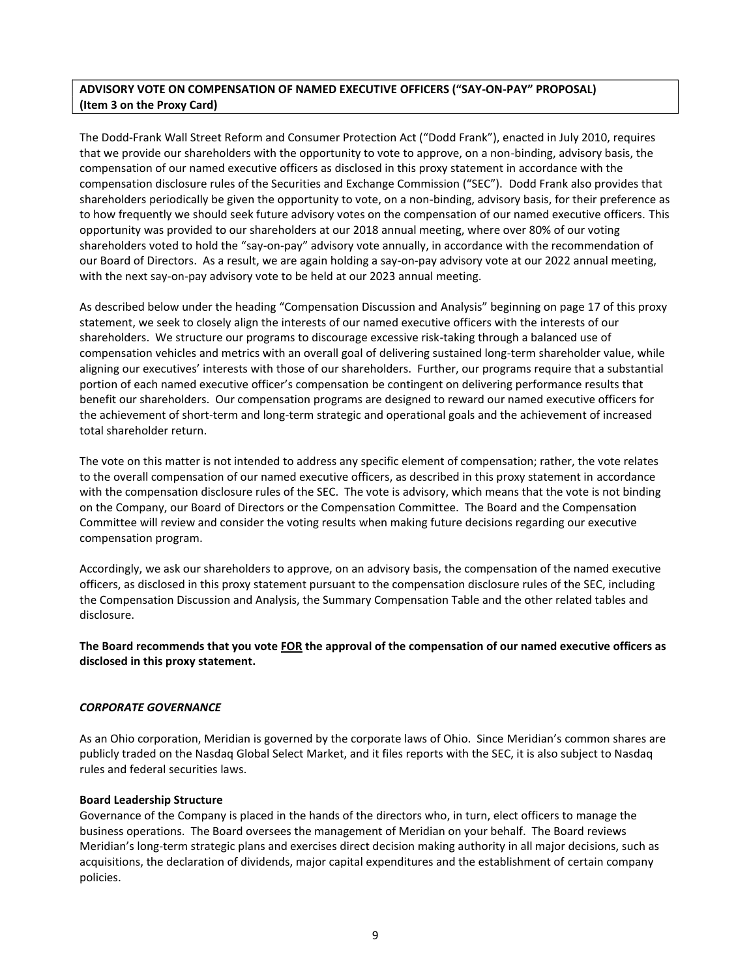# **ADVISORY VOTE ON COMPENSATION OF NAMED EXECUTIVE OFFICERS (SAY-ON-PAY PROPOSAL) (Item 3 on the Proxy Card)**

The Dodd-Frank Wall Street Reform and Consumer Protection Act ("Dodd Frank"), enacted in July 2010, requires that we provide our shareholders with the opportunity to vote to approve, on a non-binding, advisory basis, the compensation of our named executive officers as disclosed in this proxy statement in accordance with the compensation disclosure rules of the Securities and Exchange Commission ("SEC"). Dodd Frank also provides that shareholders periodically be given the opportunity to vote, on a non-binding, advisory basis, for their preference as to how frequently we should seek future advisory votes on the compensation of our named executive officers. This opportunity was provided to our shareholders at our 2018 annual meeting, where over 80% of our voting shareholders voted to hold the "say-on-pay" advisory vote annually, in accordance with the recommendation of our Board of Directors. As a result, we are again holding a say-on-pay advisory vote at our 2022 annual meeting, with the next say-on-pay advisory vote to be held at our 2023 annual meeting.

As described below under the heading "Compensation Discussion and Analysis" beginning on page 17 of this proxy statement, we seek to closely align the interests of our named executive officers with the interests of our shareholders. We structure our programs to discourage excessive risk-taking through a balanced use of compensation vehicles and metrics with an overall goal of delivering sustained long-term shareholder value, while aligning our executives' interests with those of our shareholders. Further, our programs require that a substantial portion of each named executive officer's compensation be contingent on delivering performance results that benefit our shareholders. Our compensation programs are designed to reward our named executive officers for the achievement of short-term and long-term strategic and operational goals and the achievement of increased total shareholder return.

The vote on this matter is not intended to address any specific element of compensation; rather, the vote relates to the overall compensation of our named executive officers, as described in this proxy statement in accordance with the compensation disclosure rules of the SEC. The vote is advisory, which means that the vote is not binding on the Company, our Board of Directors or the Compensation Committee. The Board and the Compensation Committee will review and consider the voting results when making future decisions regarding our executive compensation program.

Accordingly, we ask our shareholders to approve, on an advisory basis, the compensation of the named executive officers, as disclosed in this proxy statement pursuant to the compensation disclosure rules of the SEC, including the Compensation Discussion and Analysis, the Summary Compensation Table and the other related tables and disclosure.

The Board recommends that you vote FOR the approval of the compensation of our named executive officers as **disclosed in this proxy statement.**

## *CORPORATE GOVERNANCE*

As an Ohio corporation, Meridian is governed by the corporate laws of Ohio. Since Meridian's common shares are publicly traded on the Nasdaq Global Select Market, and it files reports with the SEC, it is also subject to Nasdaq rules and federal securities laws.

## **Board Leadership Structure**

Governance of the Company is placed in the hands of the directors who, in turn, elect officers to manage the business operations. The Board oversees the management of Meridian on your behalf. The Board reviews Meridian's long-term strategic plans and exercises direct decision making authority in all major decisions, such as acquisitions, the declaration of dividends, major capital expenditures and the establishment of certain company policies.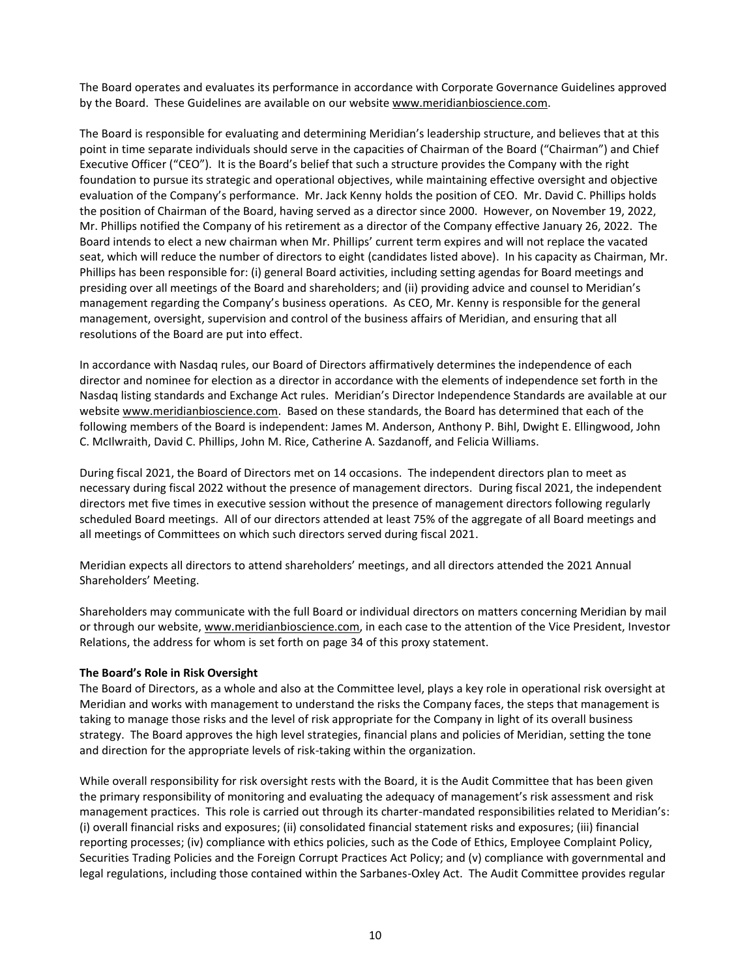The Board operates and evaluates its performance in accordance with Corporate Governance Guidelines approved by the Board. These Guidelines are available on our website www.meridianbioscience.com.

The Board is responsible for evaluating and determining Meridian's leadership structure, and believes that at this point in time separate individuals should serve in the capacities of Chairman of the Board ("Chairman") and Chief Executive Officer ("CEO"). It is the Board's belief that such a structure provides the Company with the right foundation to pursue its strategic and operational objectives, while maintaining effective oversight and objective evaluation of the Company's performance. Mr. Jack Kenny holds the position of CEO. Mr. David C. Phillips holds the position of Chairman of the Board, having served as a director since 2000. However, on November 19, 2022, Mr. Phillips notified the Company of his retirement as a director of the Company effective January 26, 2022. The Board intends to elect a new chairman when Mr. Phillips' current term expires and will not replace the vacated seat, which will reduce the number of directors to eight (candidates listed above). In his capacity as Chairman, Mr. Phillips has been responsible for: (i) general Board activities, including setting agendas for Board meetings and presiding over all meetings of the Board and shareholders; and (ii) providing advice and counsel to Meridian's management regarding the Company's business operations. As CEO, Mr. Kenny is responsible for the general management, oversight, supervision and control of the business affairs of Meridian, and ensuring that all resolutions of the Board are put into effect.

In accordance with Nasdaq rules, our Board of Directors affirmatively determines the independence of each director and nominee for election as a director in accordance with the elements of independence set forth in the Nasdag listing standards and Exchange Act rules. Meridian's Director Independence Standards are available at our website www.meridianbioscience.com. Based on these standards, the Board has determined that each of the following members of the Board is independent: James M. Anderson, Anthony P. Bihl, Dwight E. Ellingwood, John C. McIlwraith, David C. Phillips, John M. Rice, Catherine A. Sazdanoff, and Felicia Williams.

During fiscal 2021, the Board of Directors met on 14 occasions. The independent directors plan to meet as necessary during fiscal 2022 without the presence of management directors. During fiscal 2021, the independent directors met five times in executive session without the presence of management directors following regularly scheduled Board meetings. All of our directors attended at least 75% of the aggregate of all Board meetings and all meetings of Committees on which such directors served during fiscal 2021.

Meridian expects all directors to attend shareholders' meetings, and all directors attended the 2021 Annual Shareholders' Meeting.

Shareholders may communicate with the full Board or individual directors on matters concerning Meridian by mail or through our website, www.meridianbioscience.com, in each case to the attention of the Vice President, Investor Relations, the address for whom is set forth on page 34 of this proxy statement.

## **The Board's Role in Risk Oversight**

The Board of Directors, as a whole and also at the Committee level, plays a key role in operational risk oversight at Meridian and works with management to understand the risks the Company faces, the steps that management is taking to manage those risks and the level of risk appropriate for the Company in light of its overall business strategy. The Board approves the high level strategies, financial plans and policies of Meridian, setting the tone and direction for the appropriate levels of risk-taking within the organization.

While overall responsibility for risk oversight rests with the Board, it is the Audit Committee that has been given the primary responsibility of monitoring and evaluating the adequacy of management's risk assessment and risk management practices. This role is carried out through its charter-mandated responsibilities related to Meridian's: (i) overall financial risks and exposures; (ii) consolidated financial statement risks and exposures; (iii) financial reporting processes; (iv) compliance with ethics policies, such as the Code of Ethics, Employee Complaint Policy, Securities Trading Policies and the Foreign Corrupt Practices Act Policy; and (v) compliance with governmental and legal regulations, including those contained within the Sarbanes-Oxley Act. The Audit Committee provides regular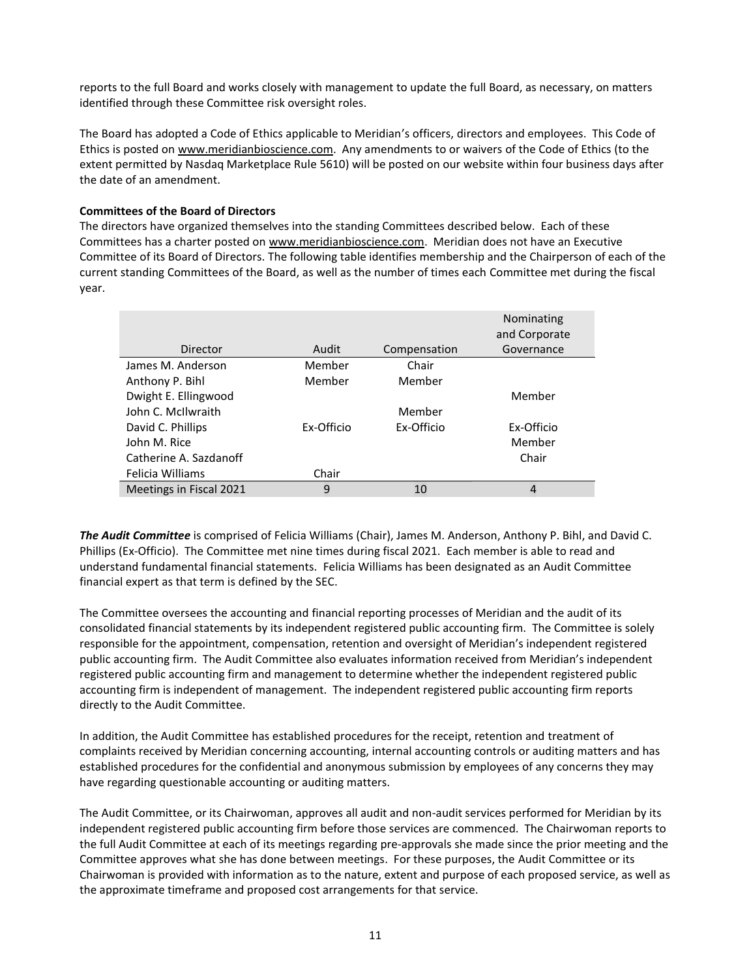reports to the full Board and works closely with management to update the full Board, as necessary, on matters identified through these Committee risk oversight roles.

The Board has adopted a Code of Ethics applicable to Meridian's officers, directors and employees. This Code of Ethics is posted on www.meridianbioscience.com. Any amendments to or waivers of the Code of Ethics (to the extent permitted by Nasdaq Marketplace Rule 5610) will be posted on our website within four business days after the date of an amendment.

## **Committees of the Board of Directors**

The directors have organized themselves into the standing Committees described below. Each of these Committees has a charter posted on www.meridianbioscience.com. Meridian does not have an Executive Committee of its Board of Directors. The following table identifies membership and the Chairperson of each of the current standing Committees of the Board, as well as the number of times each Committee met during the fiscal year.

|                         |            |              | Nominating<br>and Corporate |
|-------------------------|------------|--------------|-----------------------------|
| Director                | Audit      | Compensation | Governance                  |
| James M. Anderson       | Member     | Chair        |                             |
| Anthony P. Bihl         | Member     | Member       |                             |
| Dwight E. Ellingwood    |            |              | Member                      |
| John C. McIlwraith      |            | Member       |                             |
| David C. Phillips       | Ex-Officio | Ex-Officio   | Ex-Officio                  |
| John M. Rice            |            |              | Member                      |
| Catherine A. Sazdanoff  |            |              | Chair                       |
| Felicia Williams        | Chair      |              |                             |
| Meetings in Fiscal 2021 | 9          | 10           | 4                           |

*The Audit Committee* is comprised of Felicia Williams (Chair), James M. Anderson, Anthony P. Bihl, and David C. Phillips (Ex-Officio). The Committee met nine times during fiscal 2021. Each member is able to read and understand fundamental financial statements. Felicia Williams has been designated as an Audit Committee financial expert as that term is defined by the SEC.

The Committee oversees the accounting and financial reporting processes of Meridian and the audit of its consolidated financial statements by its independent registered public accounting firm. The Committee is solely responsible for the appointment, compensation, retention and oversight of Meridian's independent registered public accounting firm. The Audit Committee also evaluates information received from Meridian's independent registered public accounting firm and management to determine whether the independent registered public accounting firm is independent of management. The independent registered public accounting firm reports directly to the Audit Committee.

In addition, the Audit Committee has established procedures for the receipt, retention and treatment of complaints received by Meridian concerning accounting, internal accounting controls or auditing matters and has established procedures for the confidential and anonymous submission by employees of any concerns they may have regarding questionable accounting or auditing matters.

The Audit Committee, or its Chairwoman, approves all audit and non-audit services performed for Meridian by its independent registered public accounting firm before those services are commenced. The Chairwoman reports to the full Audit Committee at each of its meetings regarding pre-approvals she made since the prior meeting and the Committee approves what she has done between meetings. For these purposes, the Audit Committee or its Chairwoman is provided with information as to the nature, extent and purpose of each proposed service, as well as the approximate timeframe and proposed cost arrangements for that service.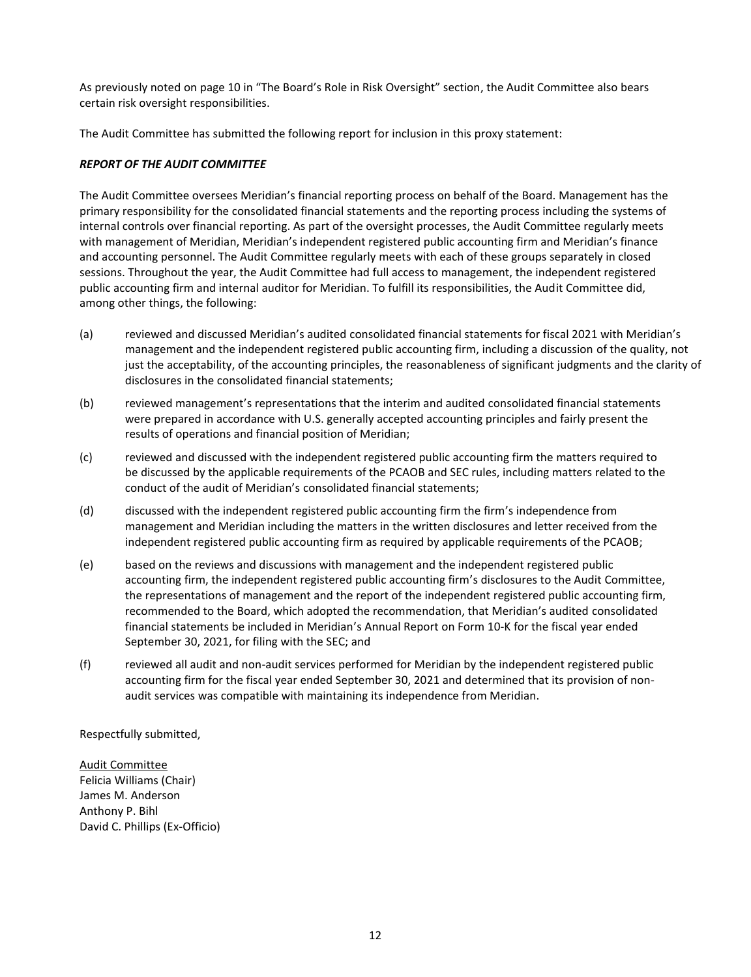As previously noted on page 10 in "The Board's Role in Risk Oversight" section, the Audit Committee also bears certain risk oversight responsibilities.

The Audit Committee has submitted the following report for inclusion in this proxy statement:

## *REPORT OF THE AUDIT COMMITTEE*

The Audit Committee oversees Meridian's financial reporting process on behalf of the Board. Management has the primary responsibility for the consolidated financial statements and the reporting process including the systems of internal controls over financial reporting. As part of the oversight processes, the Audit Committee regularly meets with management of Meridian, Meridian's independent registered public accounting firm and Meridian's finance and accounting personnel. The Audit Committee regularly meets with each of these groups separately in closed sessions. Throughout the year, the Audit Committee had full access to management, the independent registered public accounting firm and internal auditor for Meridian. To fulfill its responsibilities, the Audit Committee did, among other things, the following:

- (a) reviewed and discussed Meridian's audited consolidated financial statements for fiscal 2021 with Meridian's management and the independent registered public accounting firm, including a discussion of the quality, not just the acceptability, of the accounting principles, the reasonableness of significant judgments and the clarity of disclosures in the consolidated financial statements;
- (b) reviewed management's representations that the interim and audited consolidated financial statements were prepared in accordance with U.S. generally accepted accounting principles and fairly present the results of operations and financial position of Meridian;
- (c) reviewed and discussed with the independent registered public accounting firm the matters required to be discussed by the applicable requirements of the PCAOB and SEC rules, including matters related to the conduct of the audit of Meridian's consolidated financial statements;
- (d) discussed with the independent registered public accounting firm the firm's independence from management and Meridian including the matters in the written disclosures and letter received from the independent registered public accounting firm as required by applicable requirements of the PCAOB;
- (e) based on the reviews and discussions with management and the independent registered public accounting firm, the independent registered public accounting firm's disclosures to the Audit Committee, the representations of management and the report of the independent registered public accounting firm, recommended to the Board, which adopted the recommendation, that Meridian's audited consolidated financial statements be included in Meridian's Annual Report on Form 10-K for the fiscal year ended September 30, 2021, for filing with the SEC; and
- (f) reviewed all audit and non-audit services performed for Meridian by the independent registered public accounting firm for the fiscal year ended September 30, 2021 and determined that its provision of nonaudit services was compatible with maintaining its independence from Meridian.

Respectfully submitted,

Audit Committee Felicia Williams (Chair) James M. Anderson Anthony P. Bihl David C. Phillips (Ex-Officio)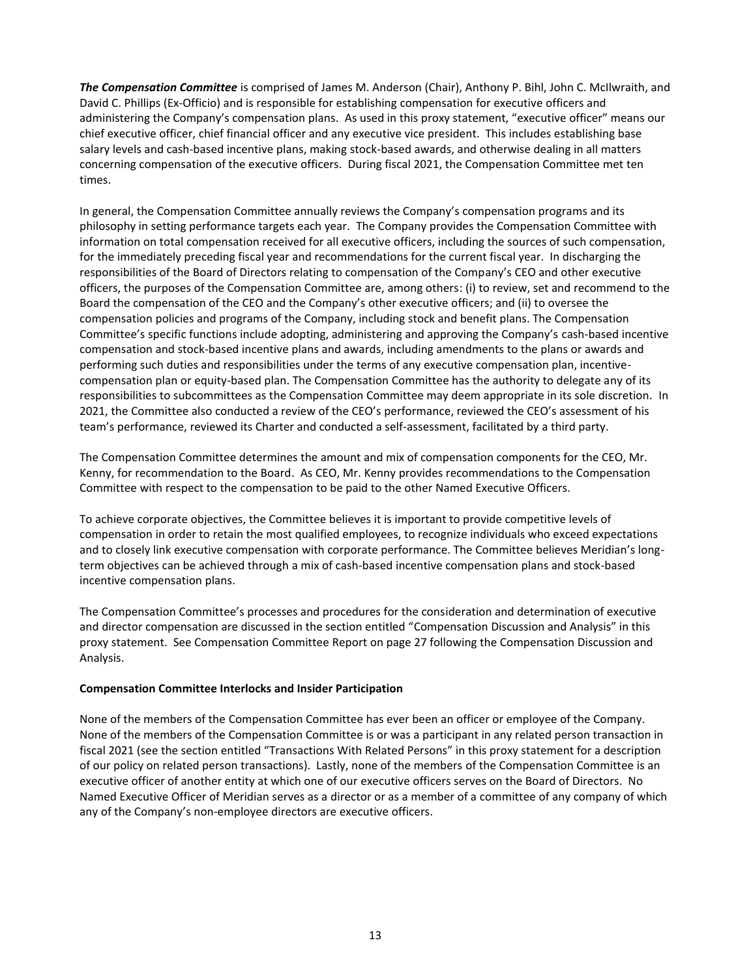*The Compensation Committee* is comprised of James M. Anderson (Chair), Anthony P. Bihl, John C. McIlwraith, and David C. Phillips (Ex-Officio) and is responsible for establishing compensation for executive officers and administering the Company's compensation plans. As used in this proxy statement, "executive officer" means our chief executive officer, chief financial officer and any executive vice president. This includes establishing base salary levels and cash-based incentive plans, making stock-based awards, and otherwise dealing in all matters concerning compensation of the executive officers. During fiscal 2021, the Compensation Committee met ten times.

In general, the Compensation Committee annually reviews the Company's compensation programs and its philosophy in setting performance targets each year. The Company provides the Compensation Committee with information on total compensation received for all executive officers, including the sources of such compensation, for the immediately preceding fiscal year and recommendations for the current fiscal year. In discharging the responsibilities of the Board of Directors relating to compensation of the Company's CEO and other executive officers, the purposes of the Compensation Committee are, among others: (i) to review, set and recommend to the Board the compensation of the CEO and the Company's other executive officers; and (ii) to oversee the compensation policies and programs of the Company, including stock and benefit plans. The Compensation Committee's specific functions include adopting, administering and approving the Company's cash-based incentive compensation and stock-based incentive plans and awards, including amendments to the plans or awards and performing such duties and responsibilities under the terms of any executive compensation plan, incentivecompensation plan or equity-based plan. The Compensation Committee has the authority to delegate any of its responsibilities to subcommittees as the Compensation Committee may deem appropriate in its sole discretion. In 2021, the Committee also conducted a review of the CEO's performance, reviewed the CEO's assessment of his team's performance, reviewed its Charter and conducted a self-assessment, facilitated by a third party.

The Compensation Committee determines the amount and mix of compensation components for the CEO, Mr. Kenny, for recommendation to the Board. As CEO, Mr. Kenny provides recommendations to the Compensation Committee with respect to the compensation to be paid to the other Named Executive Officers.

To achieve corporate objectives, the Committee believes it is important to provide competitive levels of compensation in order to retain the most qualified employees, to recognize individuals who exceed expectations and to closely link executive compensation with corporate performance. The Committee believes Meridian's longterm objectives can be achieved through a mix of cash-based incentive compensation plans and stock-based incentive compensation plans.

The Compensation Committee's processes and procedures for the consideration and determination of executive and director compensation are discussed in the section entitled "Compensation Discussion and Analysis" in this proxy statement. See Compensation Committee Report on page 27 following the Compensation Discussion and Analysis.

## **Compensation Committee Interlocks and Insider Participation**

None of the members of the Compensation Committee has ever been an officer or employee of the Company. None of the members of the Compensation Committee is or was a participant in any related person transaction in fiscal 2021 (see the section entitled "Transactions With Related Persons" in this proxy statement for a description of our policy on related person transactions). Lastly, none of the members of the Compensation Committee is an executive officer of another entity at which one of our executive officers serves on the Board of Directors. No Named Executive Officer of Meridian serves as a director or as a member of a committee of any company of which any of the Company's non-employee directors are executive officers.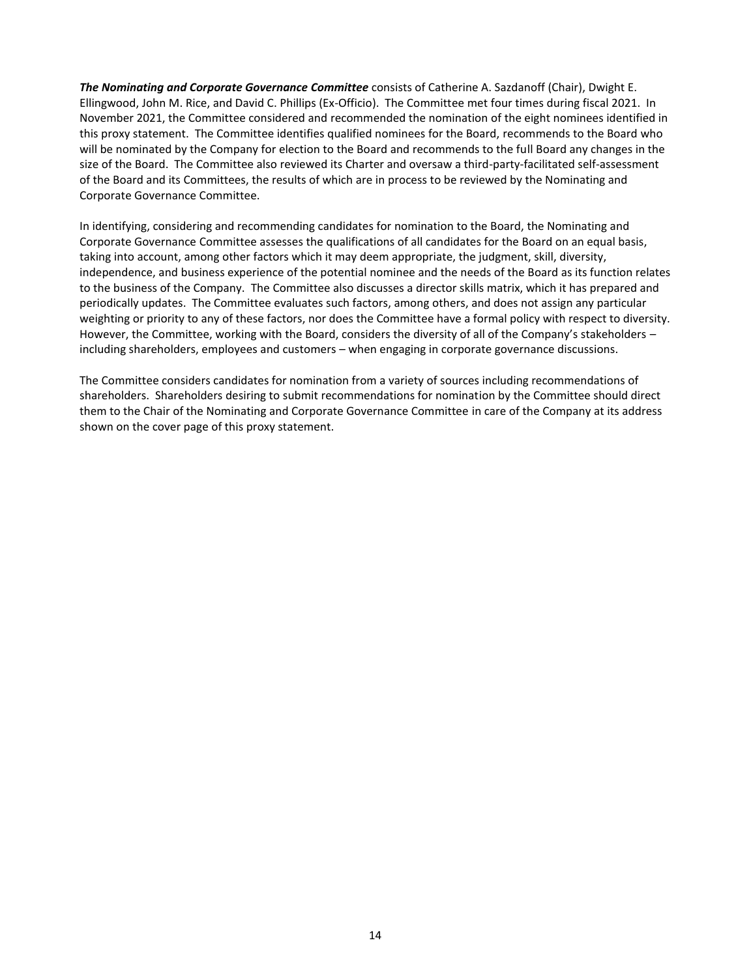*The Nominating and Corporate Governance Committee* consists of Catherine A. Sazdanoff (Chair), Dwight E. Ellingwood, John M. Rice, and David C. Phillips (Ex-Officio). The Committee met four times during fiscal 2021. In November 2021, the Committee considered and recommended the nomination of the eight nominees identified in this proxy statement. The Committee identifies qualified nominees for the Board, recommends to the Board who will be nominated by the Company for election to the Board and recommends to the full Board any changes in the size of the Board. The Committee also reviewed its Charter and oversaw a third-party-facilitated self-assessment of the Board and its Committees, the results of which are in process to be reviewed by the Nominating and Corporate Governance Committee.

In identifying, considering and recommending candidates for nomination to the Board, the Nominating and Corporate Governance Committee assesses the qualifications of all candidates for the Board on an equal basis, taking into account, among other factors which it may deem appropriate, the judgment, skill, diversity, independence, and business experience of the potential nominee and the needs of the Board as its function relates to the business of the Company. The Committee also discusses a director skills matrix, which it has prepared and periodically updates. The Committee evaluates such factors, among others, and does not assign any particular weighting or priority to any of these factors, nor does the Committee have a formal policy with respect to diversity. However, the Committee, working with the Board, considers the diversity of all of the Company's stakeholders including shareholders, employees and customers - when engaging in corporate governance discussions.

The Committee considers candidates for nomination from a variety of sources including recommendations of shareholders. Shareholders desiring to submit recommendations for nomination by the Committee should direct them to the Chair of the Nominating and Corporate Governance Committee in care of the Company at its address shown on the cover page of this proxy statement.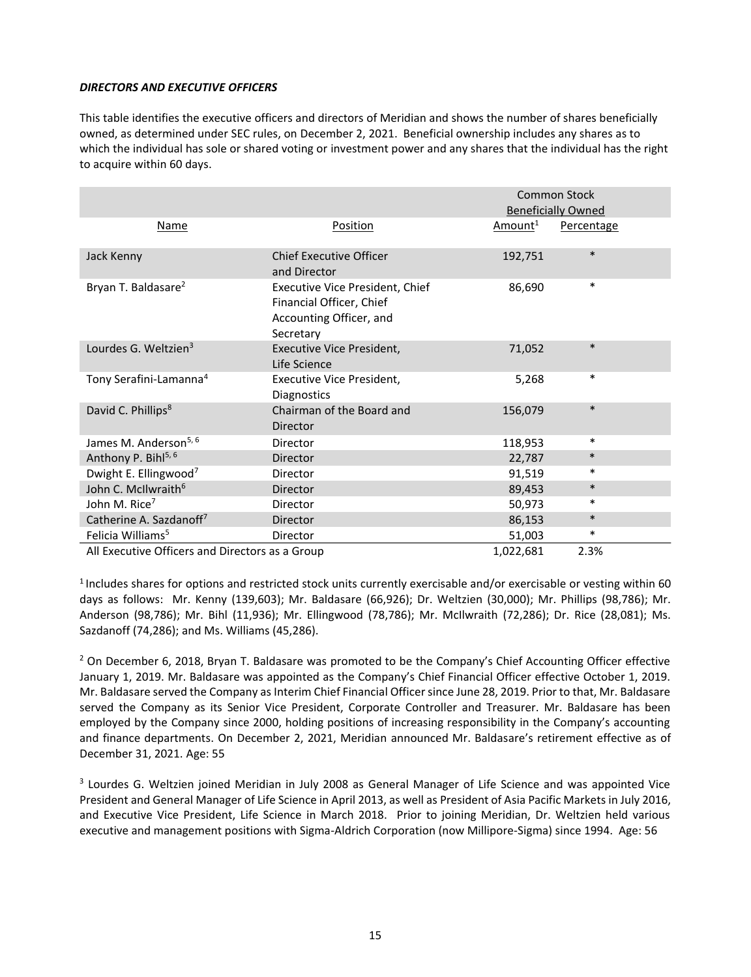#### *DIRECTORS AND EXECUTIVE OFFICERS*

This table identifies the executive officers and directors of Meridian and shows the number of shares beneficially owned, as determined under SEC rules, on December 2, 2021. Beneficial ownership includes any shares as to which the individual has sole or shared voting or investment power and any shares that the individual has the right to acquire within 60 days.

|                                                 |                                                                                                            | <b>Common Stock</b> |                           |
|-------------------------------------------------|------------------------------------------------------------------------------------------------------------|---------------------|---------------------------|
|                                                 |                                                                                                            |                     | <b>Beneficially Owned</b> |
| <b>Name</b>                                     | Position                                                                                                   | Amount <sup>1</sup> | Percentage                |
| Jack Kenny                                      | <b>Chief Executive Officer</b><br>and Director                                                             | 192,751             | $\ast$                    |
| Bryan T. Baldasare <sup>2</sup>                 | <b>Executive Vice President, Chief</b><br>Financial Officer, Chief<br>Accounting Officer, and<br>Secretary | 86,690              | $\ast$                    |
| Lourdes G. Weltzien <sup>3</sup>                | Executive Vice President,<br>Life Science                                                                  | 71,052              | $\ast$                    |
| Tony Serafini-Lamanna <sup>4</sup>              | Executive Vice President,<br><b>Diagnostics</b>                                                            | 5,268               | $\ast$                    |
| David C. Phillips <sup>8</sup>                  | Chairman of the Board and<br>Director                                                                      | 156,079             | $\ast$                    |
| James M. Anderson <sup>5, 6</sup>               | Director                                                                                                   | 118,953             | $\ast$                    |
| Anthony P. Bihl <sup>5, 6</sup>                 | Director                                                                                                   | 22,787              | $\ast$                    |
| Dwight E. Ellingwood <sup>7</sup>               | Director                                                                                                   | 91,519              | $\ast$                    |
| John C. McIlwraith <sup>6</sup>                 | Director                                                                                                   | 89,453              | $\ast$                    |
| John M. Rice <sup>7</sup>                       | Director                                                                                                   | 50,973              | $\ast$                    |
| Catherine A. Sazdanoff7                         | <b>Director</b>                                                                                            | 86,153              | $\ast$                    |
| Felicia Williams <sup>5</sup>                   | Director                                                                                                   | 51,003              | $\ast$                    |
| All Executive Officers and Directors as a Group |                                                                                                            | 1,022,681           | 2.3%                      |

 $<sup>1</sup>$  Includes shares for options and restricted stock units currently exercisable and/or exercisable or vesting within 60</sup> days as follows: Mr. Kenny (139,603); Mr. Baldasare (66,926); Dr. Weltzien (30,000); Mr. Phillips (98,786); Mr. Anderson (98,786); Mr. Bihl (11,936); Mr. Ellingwood (78,786); Mr. McIlwraith (72,286); Dr. Rice (28,081); Ms. Sazdanoff (74,286); and Ms. Williams (45,286).

 $<sup>2</sup>$  On December 6, 2018, Bryan T. Baldasare was promoted to be the Company's Chief Accounting Officer effective</sup> January 1, 2019. Mr. Baldasare was appointed as the Company's Chief Financial Officer effective October 1, 2019. Mr. Baldasare served the Company as Interim Chief Financial Officer since June 28, 2019. Prior to that, Mr. Baldasare served the Company as its Senior Vice President, Corporate Controller and Treasurer. Mr. Baldasare has been employed by the Company since 2000, holding positions of increasing responsibility in the Company's accounting and finance departments. On December 2, 2021, Meridian announced Mr. Baldasare's retirement effective as of December 31, 2021. Age: 55

<sup>3</sup> Lourdes G. Weltzien joined Meridian in July 2008 as General Manager of Life Science and was appointed Vice President and General Manager of Life Science in April 2013, as well as President of Asia Pacific Markets in July 2016, and Executive Vice President, Life Science in March 2018. Prior to joining Meridian, Dr. Weltzien held various executive and management positions with Sigma-Aldrich Corporation (now Millipore-Sigma) since 1994. Age: 56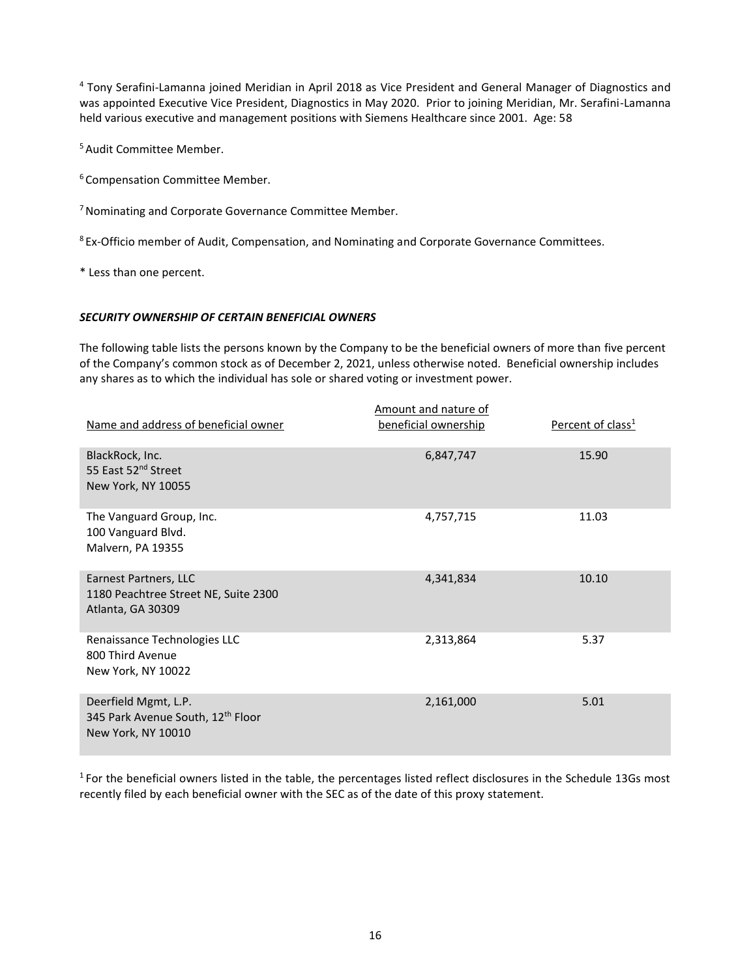<sup>4</sup> Tony Serafini-Lamanna joined Meridian in April 2018 as Vice President and General Manager of Diagnostics and was appointed Executive Vice President, Diagnostics in May 2020. Prior to joining Meridian, Mr. Serafini-Lamanna held various executive and management positions with Siemens Healthcare since 2001. Age: 58

<sup>5</sup> Audit Committee Member.

<sup>6</sup> Compensation Committee Member.

<sup>7</sup> Nominating and Corporate Governance Committee Member.

<sup>8</sup> Ex-Officio member of Audit, Compensation, and Nominating and Corporate Governance Committees.

\* Less than one percent.

## *SECURITY OWNERSHIP OF CERTAIN BENEFICIAL OWNERS*

The following table lists the persons known by the Company to be the beneficial owners of more than five percent of the Company's common stock as of December 2, 2021, unless otherwise noted. Beneficial ownership includes any shares as to which the individual has sole or shared voting or investment power.

| Name and address of beneficial owner                                               | Amount and nature of<br>beneficial ownership | Percent of class <sup>1</sup> |
|------------------------------------------------------------------------------------|----------------------------------------------|-------------------------------|
| BlackRock, Inc.<br>55 East 52 <sup>nd</sup> Street<br>New York, NY 10055           | 6,847,747                                    | 15.90                         |
| The Vanguard Group, Inc.<br>100 Vanguard Blvd.<br>Malvern, PA 19355                | 4,757,715                                    | 11.03                         |
| Earnest Partners, LLC<br>1180 Peachtree Street NE, Suite 2300<br>Atlanta, GA 30309 | 4,341,834                                    | 10.10                         |
| Renaissance Technologies LLC<br>800 Third Avenue<br>New York, NY 10022             | 2,313,864                                    | 5.37                          |
| Deerfield Mgmt, L.P.<br>345 Park Avenue South, 12th Floor<br>New York, NY 10010    | 2,161,000                                    | 5.01                          |

 $1$  For the beneficial owners listed in the table, the percentages listed reflect disclosures in the Schedule 13Gs most recently filed by each beneficial owner with the SEC as of the date of this proxy statement.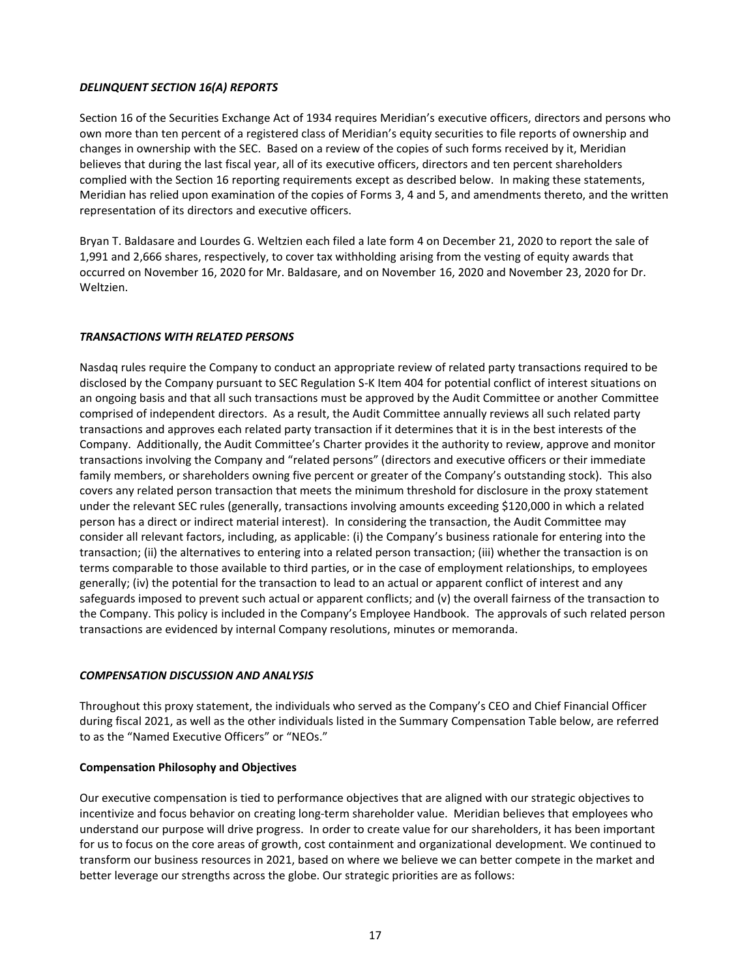## *DELINQUENT SECTION 16(A) REPORTS*

Section 16 of the Securities Exchange Act of 1934 requires Meridian's executive officers, directors and persons who own more than ten percent of a registered class of Meridian's equity securities to file reports of ownership and changes in ownership with the SEC. Based on a review of the copies of such forms received by it, Meridian believes that during the last fiscal year, all of its executive officers, directors and ten percent shareholders complied with the Section 16 reporting requirements except as described below. In making these statements, Meridian has relied upon examination of the copies of Forms 3, 4 and 5, and amendments thereto, and the written representation of its directors and executive officers.

Bryan T. Baldasare and Lourdes G. Weltzien each filed a late form 4 on December 21, 2020 to report the sale of 1,991 and 2,666 shares, respectively, to cover tax withholding arising from the vesting of equity awards that occurred on November 16, 2020 for Mr. Baldasare, and on November 16, 2020 and November 23, 2020 for Dr. Weltzien.

# *TRANSACTIONS WITH RELATED PERSONS*

Nasdaq rules require the Company to conduct an appropriate review of related party transactions required to be disclosed by the Company pursuant to SEC Regulation S-K Item 404 for potential conflict of interest situations on an ongoing basis and that all such transactions must be approved by the Audit Committee or another Committee comprised of independent directors. As a result, the Audit Committee annually reviews all such related party transactions and approves each related party transaction if it determines that it is in the best interests of the Company. Additionally, the Audit Committee's Charter provides it the authority to review, approve and monitor transactions involving the Company and "related persons" (directors and executive officers or their immediate family members, or shareholders owning five percent or greater of the Company's outstanding stock). This also covers any related person transaction that meets the minimum threshold for disclosure in the proxy statement under the relevant SEC rules (generally, transactions involving amounts exceeding \$120,000 in which a related person has a direct or indirect material interest). In considering the transaction, the Audit Committee may consider all relevant factors, including, as applicable: (i) the Company's business rationale for entering into the transaction; (ii) the alternatives to entering into a related person transaction; (iii) whether the transaction is on terms comparable to those available to third parties, or in the case of employment relationships, to employees generally; (iv) the potential for the transaction to lead to an actual or apparent conflict of interest and any safeguards imposed to prevent such actual or apparent conflicts; and (v) the overall fairness of the transaction to the Company. This policy is included in the Company's Employee Handbook. The approvals of such related person transactions are evidenced by internal Company resolutions, minutes or memoranda.

## *COMPENSATION DISCUSSION AND ANALYSIS*

Throughout this proxy statement, the individuals who served as the Company's CEO and Chief Financial Officer during fiscal 2021, as well as the other individuals listed in the Summary Compensation Table below, are referred to as the "Named Executive Officers" or "NEOs."

## **Compensation Philosophy and Objectives**

Our executive compensation is tied to performance objectives that are aligned with our strategic objectives to incentivize and focus behavior on creating long-term shareholder value. Meridian believes that employees who understand our purpose will drive progress. In order to create value for our shareholders, it has been important for us to focus on the core areas of growth, cost containment and organizational development. We continued to transform our business resources in 2021, based on where we believe we can better compete in the market and better leverage our strengths across the globe. Our strategic priorities are as follows: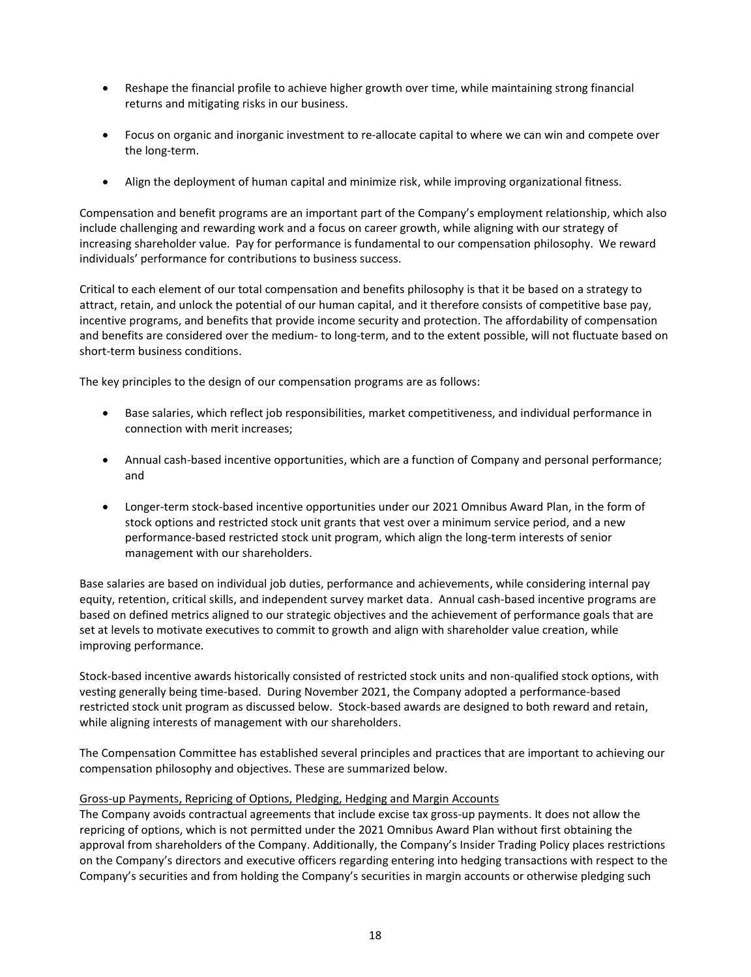- Reshape the financial profile to achieve higher growth over time, while maintaining strong financial returns and mitigating risks in our business.
- Focus on organic and inorganic investment to re-allocate capital to where we can win and compete over the long-term.
- Align the deployment of human capital and minimize risk, while improving organizational fitness.

Compensation and benefit programs are an important part of the Company's employment relationship, which also include challenging and rewarding work and a focus on career growth, while aligning with our strategy of increasing shareholder value. Pay for performance is fundamental to our compensation philosophy. We reward individuals' performance for contributions to business success.

Critical to each element of our total compensation and benefits philosophy is that it be based on a strategy to attract, retain, and unlock the potential of our human capital, and it therefore consists of competitive base pay, incentive programs, and benefits that provide income security and protection. The affordability of compensation and benefits are considered over the medium- to long-term, and to the extent possible, will not fluctuate based on short-term business conditions.

The key principles to the design of our compensation programs are as follows:

- Base salaries, which reflect job responsibilities, market competitiveness, and individual performance in connection with merit increases;
- Annual cash-based incentive opportunities, which are a function of Company and personal performance; and
- Longer-term stock-based incentive opportunities under our 2021 Omnibus Award Plan, in the form of stock options and restricted stock unit grants that vest over a minimum service period, and a new performance-based restricted stock unit program, which align the long-term interests of senior management with our shareholders.

Base salaries are based on individual job duties, performance and achievements, while considering internal pay equity, retention, critical skills, and independent survey market data. Annual cash-based incentive programs are based on defined metrics aligned to our strategic objectives and the achievement of performance goals that are set at levels to motivate executives to commit to growth and align with shareholder value creation, while improving performance.

Stock-based incentive awards historically consisted of restricted stock units and non-qualified stock options, with vesting generally being time-based. During November 2021, the Company adopted a performance-based restricted stock unit program as discussed below. Stock-based awards are designed to both reward and retain, while aligning interests of management with our shareholders.

The Compensation Committee has established several principles and practices that are important to achieving our compensation philosophy and objectives. These are summarized below.

## Gross-up Payments, Repricing of Options, Pledging, Hedging and Margin Accounts

The Company avoids contractual agreements that include excise tax gross-up payments. It does not allow the repricing of options, which is not permitted under the 2021 Omnibus Award Plan without first obtaining the approval from shareholders of the Company. Additionally, the Company's Insider Trading Policy places restrictions on the Company's directors and executive officers regarding entering into hedging transactions with respect to the Company's securities and from holding the Company's securities in margin accounts or otherwise pledging such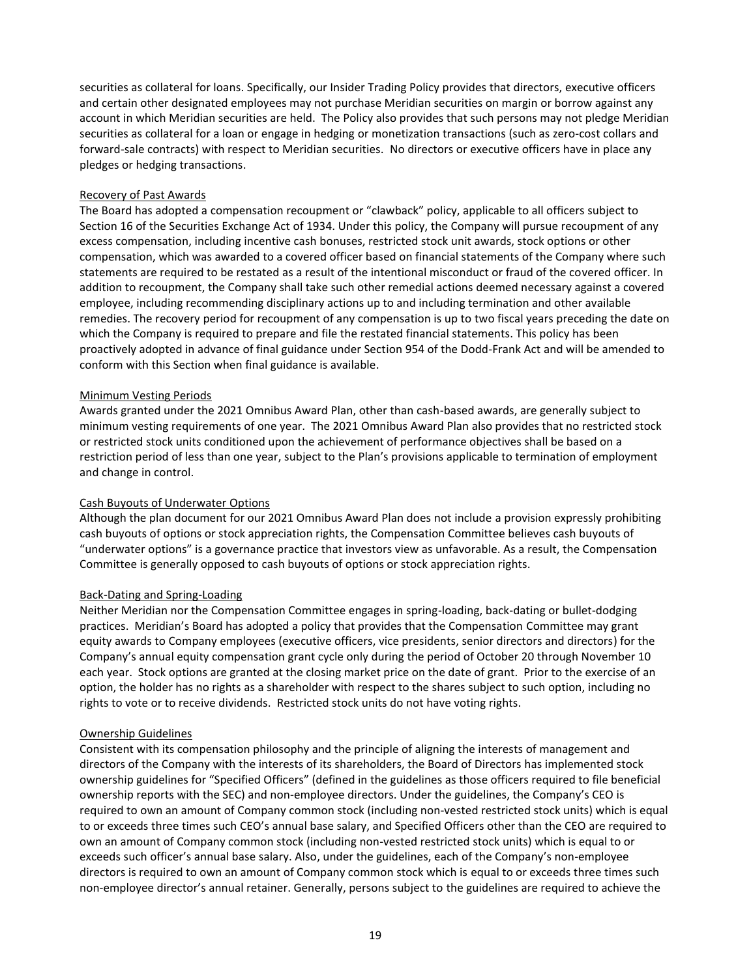securities as collateral for loans. Specifically, our Insider Trading Policy provides that directors, executive officers and certain other designated employees may not purchase Meridian securities on margin or borrow against any account in which Meridian securities are held. The Policy also provides that such persons may not pledge Meridian securities as collateral for a loan or engage in hedging or monetization transactions (such as zero-cost collars and forward-sale contracts) with respect to Meridian securities. No directors or executive officers have in place any pledges or hedging transactions.

## Recovery of Past Awards

The Board has adopted a compensation recoupment or "clawback" policy, applicable to all officers subject to Section 16 of the Securities Exchange Act of 1934. Under this policy, the Company will pursue recoupment of any excess compensation, including incentive cash bonuses, restricted stock unit awards, stock options or other compensation, which was awarded to a covered officer based on financial statements of the Company where such statements are required to be restated as a result of the intentional misconduct or fraud of the covered officer. In addition to recoupment, the Company shall take such other remedial actions deemed necessary against a covered employee, including recommending disciplinary actions up to and including termination and other available remedies. The recovery period for recoupment of any compensation is up to two fiscal years preceding the date on which the Company is required to prepare and file the restated financial statements. This policy has been proactively adopted in advance of final guidance under Section 954 of the Dodd-Frank Act and will be amended to conform with this Section when final guidance is available.

#### Minimum Vesting Periods

Awards granted under the 2021 Omnibus Award Plan, other than cash-based awards, are generally subject to minimum vesting requirements of one year. The 2021 Omnibus Award Plan also provides that no restricted stock or restricted stock units conditioned upon the achievement of performance objectives shall be based on a restriction period of less than one year, subject to the Plan's provisions applicable to termination of employment and change in control.

## Cash Buyouts of Underwater Options

Although the plan document for our 2021 Omnibus Award Plan does not include a provision expressly prohibiting cash buyouts of options or stock appreciation rights, the Compensation Committee believes cash buyouts of "underwater options" is a governance practice that investors view as unfavorable. As a result, the Compensation Committee is generally opposed to cash buyouts of options or stock appreciation rights.

## Back-Dating and Spring-Loading

Neither Meridian nor the Compensation Committee engages in spring-loading, back-dating or bullet-dodging practices. Meridian's Board has adopted a policy that provides that the Compensation Committee may grant equity awards to Company employees (executive officers, vice presidents, senior directors and directors) for the Company's annual equity compensation grant cycle only during the period of October 20 through November 10 each year. Stock options are granted at the closing market price on the date of grant. Prior to the exercise of an option, the holder has no rights as a shareholder with respect to the shares subject to such option, including no rights to vote or to receive dividends. Restricted stock units do not have voting rights.

## Ownership Guidelines

Consistent with its compensation philosophy and the principle of aligning the interests of management and directors of the Company with the interests of its shareholders, the Board of Directors has implemented stock ownership guidelines for "Specified Officers" (defined in the guidelines as those officers required to file beneficial ownership reports with the SEC) and non-employee directors. Under the guidelines, the Company's CEO is required to own an amount of Company common stock (including non-vested restricted stock units) which is equal to or exceeds three times such CEO's annual base salary, and Specified Officers other than the CEO are required to own an amount of Company common stock (including non-vested restricted stock units) which is equal to or exceeds such officer's annual base salary. Also, under the guidelines, each of the Company's non-employee directors is required to own an amount of Company common stock which is equal to or exceeds three times such non-employee director's annual retainer. Generally, persons subject to the guidelines are required to achieve the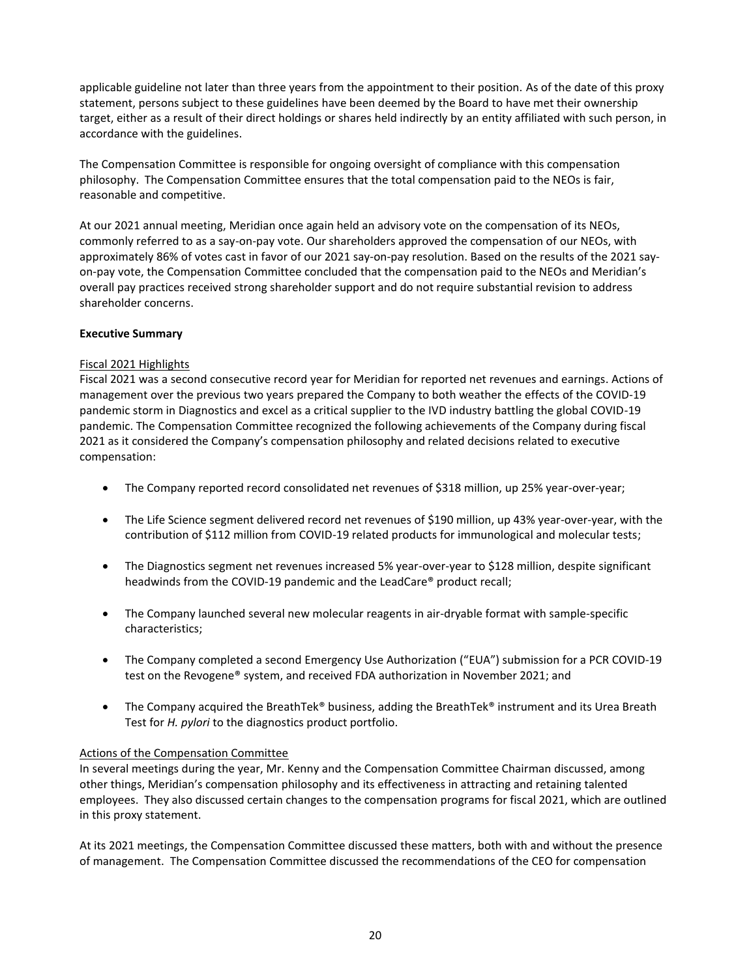applicable guideline not later than three years from the appointment to their position. As of the date of this proxy statement, persons subject to these guidelines have been deemed by the Board to have met their ownership target, either as a result of their direct holdings or shares held indirectly by an entity affiliated with such person, in accordance with the guidelines.

The Compensation Committee is responsible for ongoing oversight of compliance with this compensation philosophy. The Compensation Committee ensures that the total compensation paid to the NEOs is fair, reasonable and competitive.

At our 2021 annual meeting, Meridian once again held an advisory vote on the compensation of its NEOs, commonly referred to as a say-on-pay vote. Our shareholders approved the compensation of our NEOs, with approximately 86% of votes cast in favor of our 2021 say-on-pay resolution. Based on the results of the 2021 sayon-pay vote, the Compensation Committee concluded that the compensation paid to the NEOs and Meridian's overall pay practices received strong shareholder support and do not require substantial revision to address shareholder concerns.

## **Executive Summary**

## Fiscal 2021 Highlights

Fiscal 2021 was a second consecutive record year for Meridian for reported net revenues and earnings. Actions of management over the previous two years prepared the Company to both weather the effects of the COVID-19 pandemic storm in Diagnostics and excel as a critical supplier to the IVD industry battling the global COVID-19 pandemic. The Compensation Committee recognized the following achievements of the Company during fiscal 2021 as it considered the Company's compensation philosophy and related decisions related to executive compensation:

- The Company reported record consolidated net revenues of \$318 million, up 25% year-over-year;
- The Life Science segment delivered record net revenues of \$190 million, up 43% year-over-year, with the contribution of \$112 million from COVID-19 related products for immunological and molecular tests;
- The Diagnostics segment net revenues increased 5% year-over-year to \$128 million, despite significant headwinds from the COVID-19 pandemic and the LeadCare® product recall;
- The Company launched several new molecular reagents in air-dryable format with sample-specific characteristics;
- The Company completed a second Emergency Use Authorization ("EUA") submission for a PCR COVID-19 test on the Revogene® system, and received FDA authorization in November 2021; and
- The Company acquired the BreathTek® business, adding the BreathTek® instrument and its Urea Breath Test for *H. pylori* to the diagnostics product portfolio.

## Actions of the Compensation Committee

In several meetings during the year, Mr. Kenny and the Compensation Committee Chairman discussed, among other things, Meridian's compensation philosophy and its effectiveness in attracting and retaining talented employees. They also discussed certain changes to the compensation programs for fiscal 2021, which are outlined in this proxy statement.

At its 2021 meetings, the Compensation Committee discussed these matters, both with and without the presence of management. The Compensation Committee discussed the recommendations of the CEO for compensation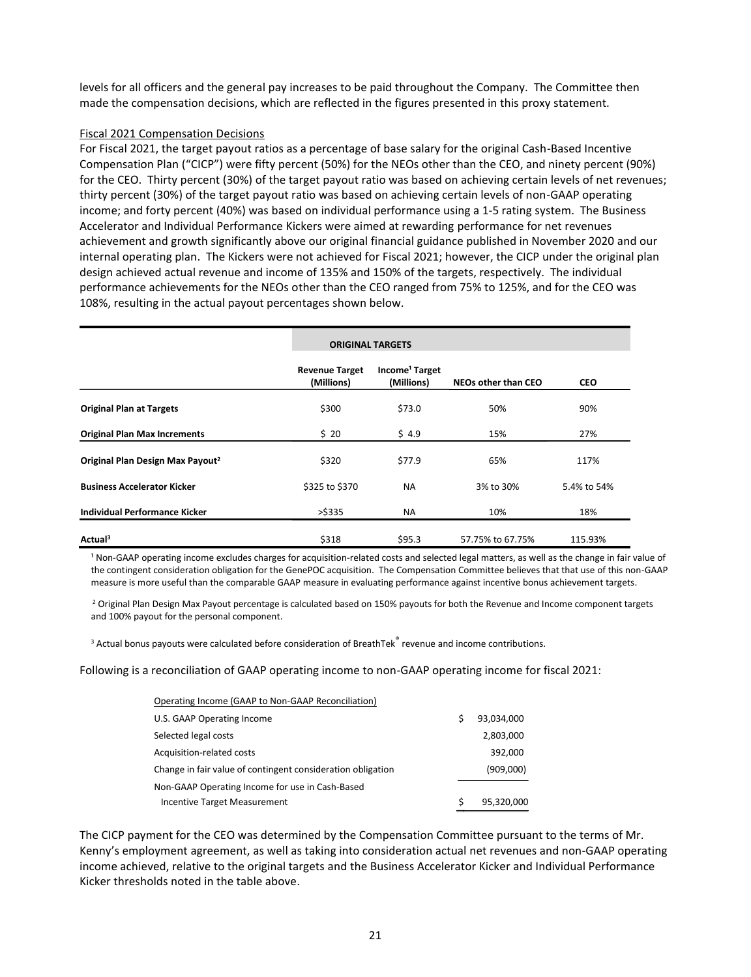levels for all officers and the general pay increases to be paid throughout the Company. The Committee then made the compensation decisions, which are reflected in the figures presented in this proxy statement.

## Fiscal 2021 Compensation Decisions

For Fiscal 2021, the target payout ratios as a percentage of base salary for the original Cash-Based Incentive Compensation Plan ("CICP") were fifty percent (50%) for the NEOs other than the CEO, and ninety percent (90%) for the CEO. Thirty percent (30%) of the target payout ratio was based on achieving certain levels of net revenues; thirty percent (30%) of the target payout ratio was based on achieving certain levels of non-GAAP operating income; and forty percent (40%) was based on individual performance using a 1-5 rating system. The Business Accelerator and Individual Performance Kickers were aimed at rewarding performance for net revenues achievement and growth significantly above our original financial guidance published in November 2020 and our internal operating plan. The Kickers were not achieved for Fiscal 2021; however, the CICP under the original plan design achieved actual revenue and income of 135% and 150% of the targets, respectively. The individual performance achievements for the NEOs other than the CEO ranged from 75% to 125%, and for the CEO was 108%, resulting in the actual payout percentages shown below.

|                                              |                                     | <b>ORIGINAL TARGETS</b>                  |                            |             |
|----------------------------------------------|-------------------------------------|------------------------------------------|----------------------------|-------------|
|                                              | <b>Revenue Target</b><br>(Millions) | Income <sup>1</sup> Target<br>(Millions) | <b>NEOs other than CEO</b> | <b>CEO</b>  |
| <b>Original Plan at Targets</b>              | \$300                               | \$73.0                                   | 50%                        | 90%         |
| <b>Original Plan Max Increments</b>          | \$20                                | \$4.9                                    | 15%                        | 27%         |
| Original Plan Design Max Payout <sup>2</sup> | \$320                               | \$77.9                                   | 65%                        | 117%        |
| <b>Business Accelerator Kicker</b>           | \$325 to \$370                      | <b>NA</b>                                | 3% to 30%                  | 5.4% to 54% |
| Individual Performance Kicker                | $>$ \$335                           | <b>NA</b>                                | 10%                        | 18%         |
| Actual <sup>3</sup>                          | \$318                               | \$95.3                                   | 57.75% to 67.75%           | 115.93%     |

<sup>1</sup> Non-GAAP operating income excludes charges for acquisition-related costs and selected legal matters, as well as the change in fair value of the contingent consideration obligation for the GenePOC acquisition. The Compensation Committee believes that that use of this non-GAAP measure is more useful than the comparable GAAP measure in evaluating performance against incentive bonus achievement targets.

<sup>2</sup> Original Plan Design Max Payout percentage is calculated based on 150% payouts for both the Revenue and Income component targets and 100% payout for the personal component.

 $3$  Actual bonus payouts were calculated before consideration of BreathTek $\degree$  revenue and income contributions.

Following is a reconciliation of GAAP operating income to non-GAAP operating income for fiscal 2021:

| Operating Income (GAAP to Non-GAAP Reconciliation)          |   |            |
|-------------------------------------------------------------|---|------------|
| U.S. GAAP Operating Income                                  |   | 93.034.000 |
| Selected legal costs                                        |   | 2,803,000  |
| Acquisition-related costs                                   |   | 392,000    |
| Change in fair value of contingent consideration obligation |   | (909,000)  |
| Non-GAAP Operating Income for use in Cash-Based             |   |            |
| Incentive Target Measurement                                | S | 95,320,000 |

The CICP payment for the CEO was determined by the Compensation Committee pursuant to the terms of Mr. Kenny's employment agreement, as well as taking into consideration actual net revenues and non-GAAP operating income achieved, relative to the original targets and the Business Accelerator Kicker and Individual Performance Kicker thresholds noted in the table above.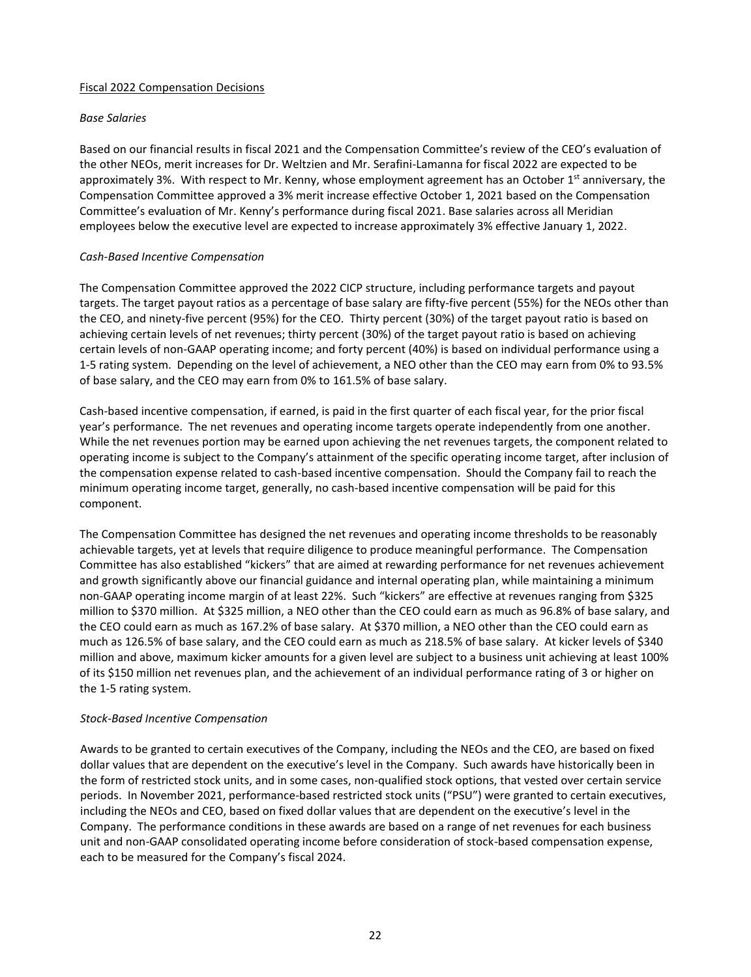#### Fiscal 2022 Compensation Decisions

#### *Base Salaries*

Based on our financial results in fiscal 2021 and the Compensation Committee's review of the CEO's evaluation of the other NEOs, merit increases for Dr. Weltzien and Mr. Serafini-Lamanna for fiscal 2022 are expected to be approximately 3%. With respect to Mr. Kenny, whose employment agreement has an October 1<sup>st</sup> anniversary, the Compensation Committee approved a 3% merit increase effective October 1, 2021 based on the Compensation Committee's evaluation of Mr. Kenny's performance during fiscal 2021. Base salaries across all Meridian employees below the executive level are expected to increase approximately 3% effective January 1, 2022.

## *Cash-Based Incentive Compensation*

The Compensation Committee approved the 2022 CICP structure, including performance targets and payout targets. The target payout ratios as a percentage of base salary are fifty-five percent (55%) for the NEOs other than the CEO, and ninety-five percent (95%) for the CEO. Thirty percent (30%) of the target payout ratio is based on achieving certain levels of net revenues; thirty percent (30%) of the target payout ratio is based on achieving certain levels of non-GAAP operating income; and forty percent (40%) is based on individual performance using a 1-5 rating system. Depending on the level of achievement, a NEO other than the CEO may earn from 0% to 93.5% of base salary, and the CEO may earn from 0% to 161.5% of base salary.

Cash-based incentive compensation, if earned, is paid in the first quarter of each fiscal year, for the prior fiscal year's performance. The net revenues and operating income targets operate independently from one another. While the net revenues portion may be earned upon achieving the net revenues targets, the component related to operating income is subject to the Company's attainment of the specific operating income target, after inclusion of the compensation expense related to cash-based incentive compensation. Should the Company fail to reach the minimum operating income target, generally, no cash-based incentive compensation will be paid for this component.

The Compensation Committee has designed the net revenues and operating income thresholds to be reasonably achievable targets, yet at levels that require diligence to produce meaningful performance. The Compensation Committee has also established "kickers" that are aimed at rewarding performance for net revenues achievement and growth significantly above our financial guidance and internal operating plan, while maintaining a minimum non-GAAP operating income margin of at least 22%. Such "kickers" are effective at revenues ranging from \$325 million to \$370 million. At \$325 million, a NEO other than the CEO could earn as much as 96.8% of base salary, and the CEO could earn as much as 167.2% of base salary. At \$370 million, a NEO other than the CEO could earn as much as 126.5% of base salary, and the CEO could earn as much as 218.5% of base salary. At kicker levels of \$340 million and above, maximum kicker amounts for a given level are subject to a business unit achieving at least 100% of its \$150 million net revenues plan, and the achievement of an individual performance rating of 3 or higher on the 1-5 rating system.

## *Stock-Based Incentive Compensation*

Awards to be granted to certain executives of the Company, including the NEOs and the CEO, are based on fixed dollar values that are dependent on the executive's level in the Company. Such awards have historically been in the form of restricted stock units, and in some cases, non-qualified stock options, that vested over certain service periods. In November 2021, performance-based restricted stock units ("PSU") were granted to certain executives, including the NEOs and CEO, based on fixed dollar values that are dependent on the executive's level in the Company. The performance conditions in these awards are based on a range of net revenues for each business unit and non-GAAP consolidated operating income before consideration of stock-based compensation expense, each to be measured for the Company's fiscal 2024.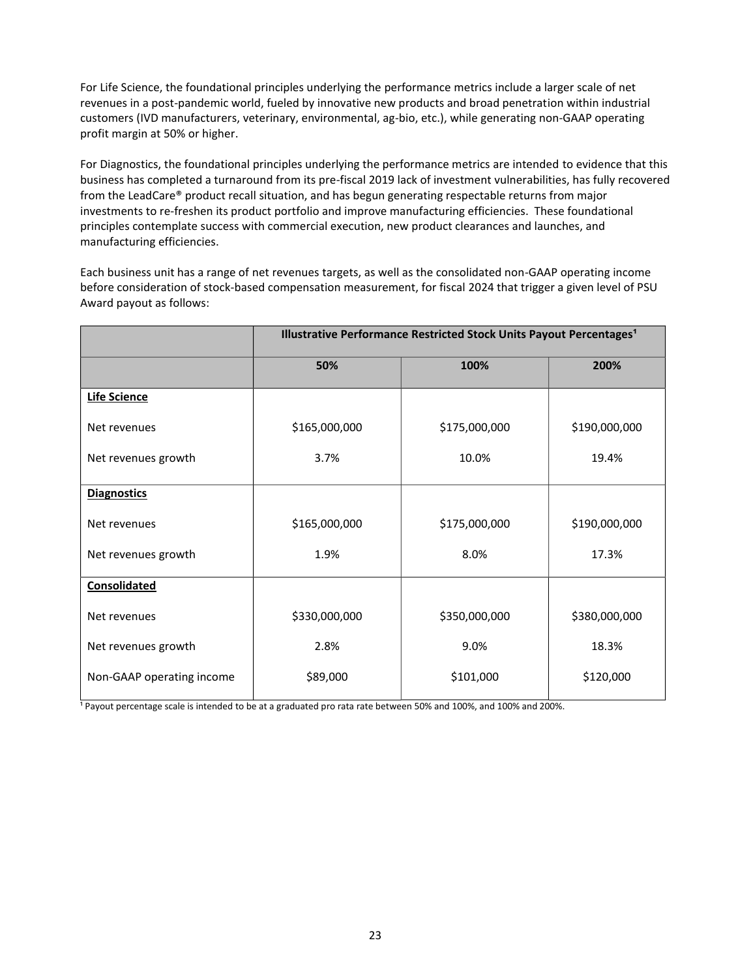For Life Science, the foundational principles underlying the performance metrics include a larger scale of net revenues in a post-pandemic world, fueled by innovative new products and broad penetration within industrial customers (IVD manufacturers, veterinary, environmental, ag-bio, etc.), while generating non-GAAP operating profit margin at 50% or higher.

For Diagnostics, the foundational principles underlying the performance metrics are intended to evidence that this business has completed a turnaround from its pre-fiscal 2019 lack of investment vulnerabilities, has fully recovered from the LeadCare® product recall situation, and has begun generating respectable returns from major investments to re-freshen its product portfolio and improve manufacturing efficiencies. These foundational principles contemplate success with commercial execution, new product clearances and launches, and manufacturing efficiencies.

Each business unit has a range of net revenues targets, as well as the consolidated non-GAAP operating income before consideration of stock-based compensation measurement, for fiscal 2024 that trigger a given level of PSU Award payout as follows:

|                           | Illustrative Performance Restricted Stock Units Payout Percentages <sup>1</sup> |               |               |  |  |  |
|---------------------------|---------------------------------------------------------------------------------|---------------|---------------|--|--|--|
|                           | 50%                                                                             | 100%          | 200%          |  |  |  |
| <b>Life Science</b>       |                                                                                 |               |               |  |  |  |
| Net revenues              | \$165,000,000                                                                   | \$175,000,000 | \$190,000,000 |  |  |  |
| Net revenues growth       | 3.7%                                                                            | 10.0%         | 19.4%         |  |  |  |
| <b>Diagnostics</b>        |                                                                                 |               |               |  |  |  |
| Net revenues              | \$165,000,000                                                                   | \$175,000,000 | \$190,000,000 |  |  |  |
| Net revenues growth       | 1.9%                                                                            | 8.0%          | 17.3%         |  |  |  |
| Consolidated              |                                                                                 |               |               |  |  |  |
| Net revenues              | \$330,000,000                                                                   | \$350,000,000 | \$380,000,000 |  |  |  |
| Net revenues growth       | 2.8%                                                                            | 9.0%          | 18.3%         |  |  |  |
| Non-GAAP operating income | \$89,000                                                                        | \$101,000     | \$120,000     |  |  |  |

Payout percentage scale is intended to be at a graduated pro rata rate between 50% and 100%, and 100% and 200%.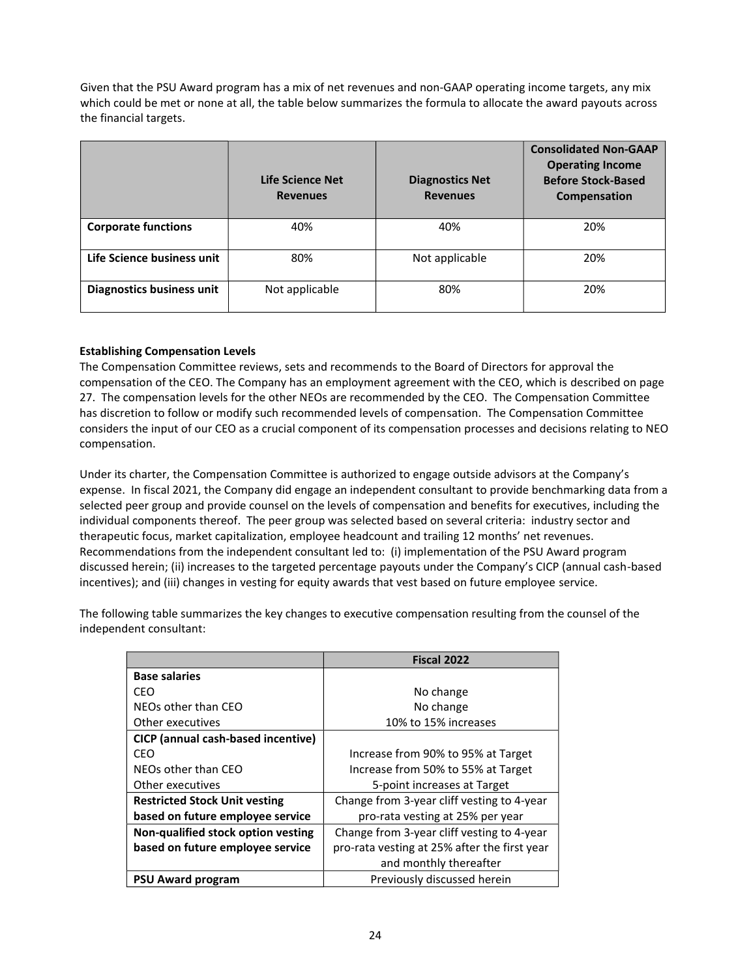Given that the PSU Award program has a mix of net revenues and non-GAAP operating income targets, any mix which could be met or none at all, the table below summarizes the formula to allocate the award payouts across the financial targets.

|                            | Life Science Net<br><b>Revenues</b> | <b>Diagnostics Net</b><br><b>Revenues</b> | <b>Consolidated Non-GAAP</b><br><b>Operating Income</b><br><b>Before Stock-Based</b><br>Compensation |
|----------------------------|-------------------------------------|-------------------------------------------|------------------------------------------------------------------------------------------------------|
| <b>Corporate functions</b> | 40%                                 | 40%                                       | 20%                                                                                                  |
| Life Science business unit | 80%                                 | Not applicable                            | 20%                                                                                                  |
| Diagnostics business unit  | Not applicable                      | 80%                                       | 20%                                                                                                  |

## **Establishing Compensation Levels**

The Compensation Committee reviews, sets and recommends to the Board of Directors for approval the compensation of the CEO. The Company has an employment agreement with the CEO, which is described on page 27. The compensation levels for the other NEOs are recommended by the CEO. The Compensation Committee has discretion to follow or modify such recommended levels of compensation. The Compensation Committee considers the input of our CEO as a crucial component of its compensation processes and decisions relating to NEO compensation.

Under its charter, the Compensation Committee is authorized to engage outside advisors at the Company's expense. In fiscal 2021, the Company did engage an independent consultant to provide benchmarking data from a selected peer group and provide counsel on the levels of compensation and benefits for executives, including the individual components thereof. The peer group was selected based on several criteria: industry sector and therapeutic focus, market capitalization, employee headcount and trailing 12 months' net revenues. Recommendations from the independent consultant led to: (i) implementation of the PSU Award program discussed herein; (ii) increases to the targeted percentage payouts under the Company's CICP (annual cash-based incentives); and (iii) changes in vesting for equity awards that vest based on future employee service.

The following table summarizes the key changes to executive compensation resulting from the counsel of the independent consultant:

|                                      | Fiscal 2022                                  |
|--------------------------------------|----------------------------------------------|
| <b>Base salaries</b>                 |                                              |
| CEO                                  | No change                                    |
| NEOs other than CEO                  | No change                                    |
| Other executives                     | 10% to 15% increases                         |
| CICP (annual cash-based incentive)   |                                              |
| CFO                                  | Increase from 90% to 95% at Target           |
| NEOs other than CEO                  | Increase from 50% to 55% at Target           |
| Other executives                     | 5-point increases at Target                  |
| <b>Restricted Stock Unit vesting</b> | Change from 3-year cliff vesting to 4-year   |
| based on future employee service     | pro-rata vesting at 25% per year             |
| Non-qualified stock option vesting   | Change from 3-year cliff vesting to 4-year   |
| based on future employee service     | pro-rata vesting at 25% after the first year |
|                                      | and monthly thereafter                       |
| <b>PSU Award program</b>             | Previously discussed herein                  |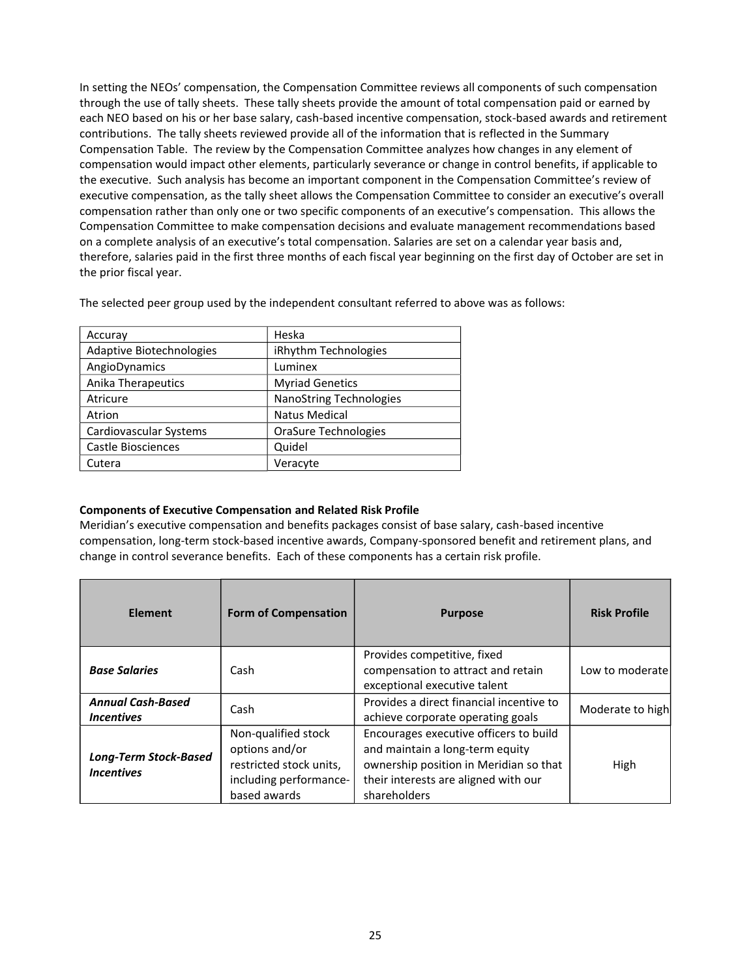In setting the NEOs' compensation, the Compensation Committee reviews all components of such compensation through the use of tally sheets. These tally sheets provide the amount of total compensation paid or earned by each NEO based on his or her base salary, cash-based incentive compensation, stock-based awards and retirement contributions. The tally sheets reviewed provide all of the information that is reflected in the Summary Compensation Table. The review by the Compensation Committee analyzes how changes in any element of compensation would impact other elements, particularly severance or change in control benefits, if applicable to the executive. Such analysis has become an important component in the Compensation Committee's review of executive compensation, as the tally sheet allows the Compensation Committee to consider an executive's overall compensation rather than only one or two specific components of an executive's compensation. This allows the Compensation Committee to make compensation decisions and evaluate management recommendations based on a complete analysis of an executive's total compensation. Salaries are set on a calendar year basis and, therefore, salaries paid in the first three months of each fiscal year beginning on the first day of October are set in the prior fiscal year.

| Accuray                  | Heska                          |
|--------------------------|--------------------------------|
| Adaptive Biotechnologies | iRhythm Technologies           |
| AngioDynamics            | Luminex                        |
| Anika Therapeutics       | <b>Myriad Genetics</b>         |
| Atricure                 | <b>NanoString Technologies</b> |
| Atrion                   | <b>Natus Medical</b>           |
| Cardiovascular Systems   | <b>OraSure Technologies</b>    |
| Castle Biosciences       | Quidel                         |
| Cutera                   | Veracyte                       |

## **Components of Executive Compensation and Related Risk Profile**

Meridian's executive compensation and benefits packages consist of base salary, cash-based incentive compensation, long-term stock-based incentive awards, Company-sponsored benefit and retirement plans, and change in control severance benefits. Each of these components has a certain risk profile.

| <b>Element</b>                                    | <b>Form of Compensation</b>                                                                                | <b>Purpose</b>                                                                                                                                                              | <b>Risk Profile</b> |
|---------------------------------------------------|------------------------------------------------------------------------------------------------------------|-----------------------------------------------------------------------------------------------------------------------------------------------------------------------------|---------------------|
| <b>Base Salaries</b>                              | Cash                                                                                                       | Provides competitive, fixed<br>compensation to attract and retain<br>exceptional executive talent                                                                           | Low to moderate     |
| <b>Annual Cash-Based</b><br><b>Incentives</b>     | Cash                                                                                                       | Provides a direct financial incentive to<br>achieve corporate operating goals                                                                                               | Moderate to high    |
| <b>Long-Term Stock-Based</b><br><b>Incentives</b> | Non-qualified stock<br>options and/or<br>restricted stock units,<br>including performance-<br>based awards | Encourages executive officers to build<br>and maintain a long-term equity<br>ownership position in Meridian so that<br>their interests are aligned with our<br>shareholders | High                |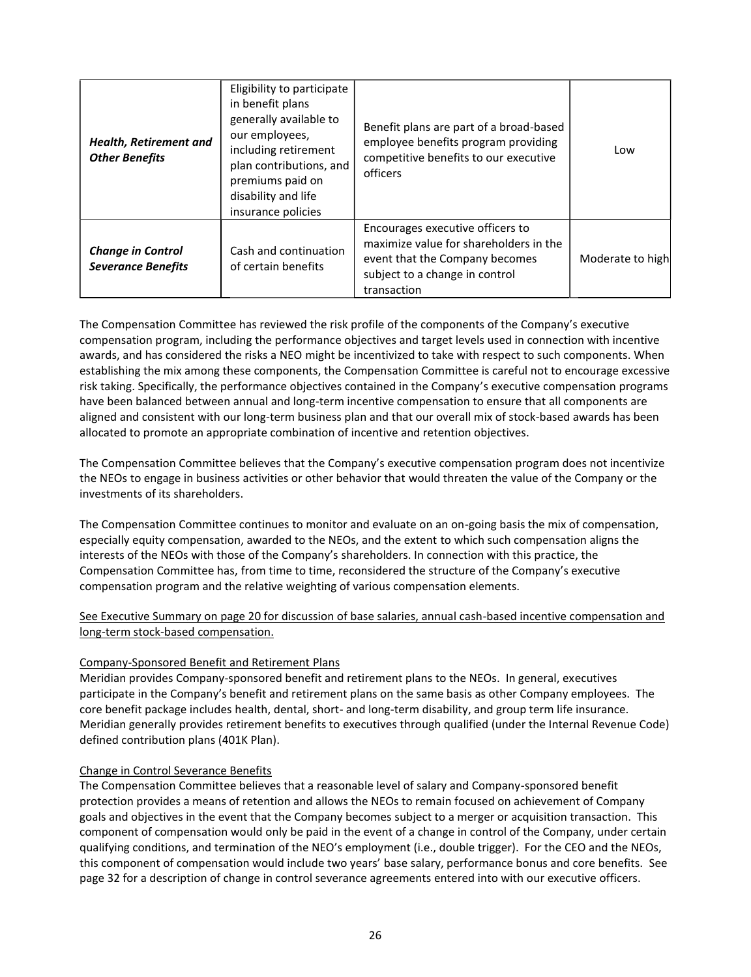| <b>Health, Retirement and</b><br><b>Other Benefits</b> | Eligibility to participate<br>in benefit plans<br>generally available to<br>our employees,<br>including retirement<br>plan contributions, and<br>premiums paid on<br>disability and life<br>insurance policies | Benefit plans are part of a broad-based<br>employee benefits program providing<br>competitive benefits to our executive<br>officers                           | Low              |
|--------------------------------------------------------|----------------------------------------------------------------------------------------------------------------------------------------------------------------------------------------------------------------|---------------------------------------------------------------------------------------------------------------------------------------------------------------|------------------|
| <b>Change in Control</b><br><b>Severance Benefits</b>  | Cash and continuation<br>of certain benefits                                                                                                                                                                   | Encourages executive officers to<br>maximize value for shareholders in the<br>event that the Company becomes<br>subject to a change in control<br>transaction | Moderate to high |

The Compensation Committee has reviewed the risk profile of the components of the Company's executive compensation program, including the performance objectives and target levels used in connection with incentive awards, and has considered the risks a NEO might be incentivized to take with respect to such components. When establishing the mix among these components, the Compensation Committee is careful not to encourage excessive risk taking. Specifically, the performance objectives contained in the Company's executive compensation programs have been balanced between annual and long-term incentive compensation to ensure that all components are aligned and consistent with our long-term business plan and that our overall mix of stock-based awards has been allocated to promote an appropriate combination of incentive and retention objectives.

The Compensation Committee believes that the Company's executive compensation program does not incentivize the NEOs to engage in business activities or other behavior that would threaten the value of the Company or the investments of its shareholders.

The Compensation Committee continues to monitor and evaluate on an on-going basis the mix of compensation, especially equity compensation, awarded to the NEOs, and the extent to which such compensation aligns the interests of the NEOs with those of the Company's shareholders. In connection with this practice, the Compensation Committee has, from time to time, reconsidered the structure of the Company's executive compensation program and the relative weighting of various compensation elements.

See Executive Summary on page 20 for discussion of base salaries, annual cash-based incentive compensation and long-term stock-based compensation.

## Company-Sponsored Benefit and Retirement Plans

Meridian provides Company-sponsored benefit and retirement plans to the NEOs. In general, executives participate in the Company's benefit and retirement plans on the same basis as other Company employees. The core benefit package includes health, dental, short- and long-term disability, and group term life insurance. Meridian generally provides retirement benefits to executives through qualified (under the Internal Revenue Code) defined contribution plans (401K Plan).

## Change in Control Severance Benefits

The Compensation Committee believes that a reasonable level of salary and Company-sponsored benefit protection provides a means of retention and allows the NEOs to remain focused on achievement of Company goals and objectives in the event that the Company becomes subject to a merger or acquisition transaction. This component of compensation would only be paid in the event of a change in control of the Company, under certain qualifying conditions, and termination of the NEO's employment (i.e., double trigger). For the CEO and the NEOs, this component of compensation would include two years' base salary, performance bonus and core benefits. See page 32 for a description of change in control severance agreements entered into with our executive officers.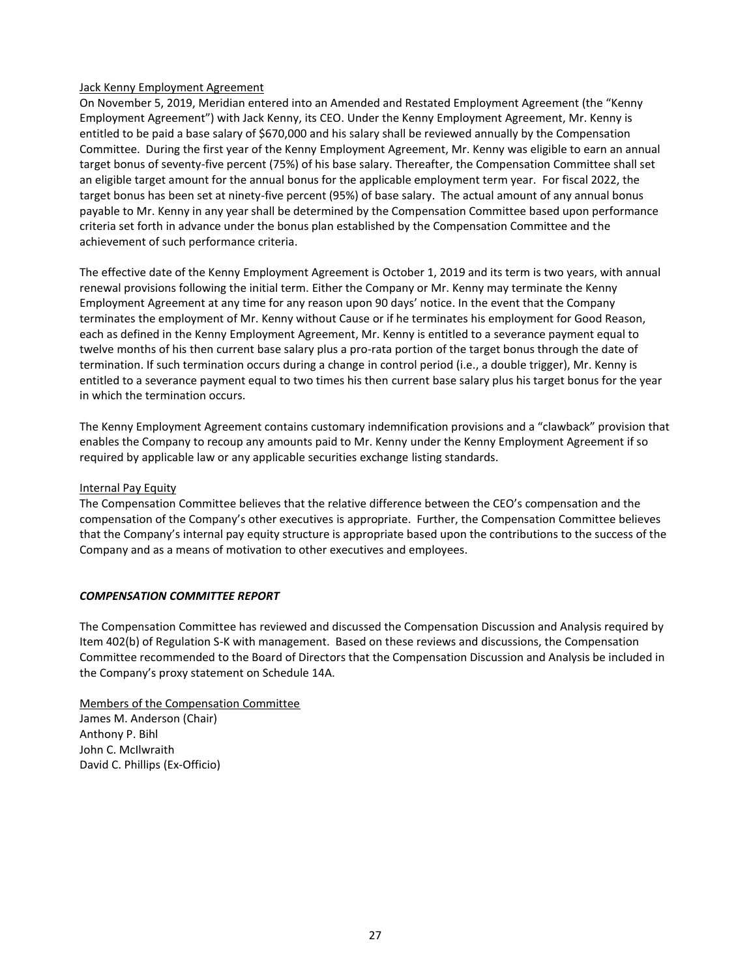## Jack Kenny Employment Agreement

On November 5, 2019, Meridian entered into an Amended and Restated Employment Agreement (the "Kenny Employment Agreement") with Jack Kenny, its CEO. Under the Kenny Employment Agreement, Mr. Kenny is entitled to be paid a base salary of \$670,000 and his salary shall be reviewed annually by the Compensation Committee. During the first year of the Kenny Employment Agreement, Mr. Kenny was eligible to earn an annual target bonus of seventy-five percent (75%) of his base salary. Thereafter, the Compensation Committee shall set an eligible target amount for the annual bonus for the applicable employment term year. For fiscal 2022, the target bonus has been set at ninety-five percent (95%) of base salary. The actual amount of any annual bonus payable to Mr. Kenny in any year shall be determined by the Compensation Committee based upon performance criteria set forth in advance under the bonus plan established by the Compensation Committee and the achievement of such performance criteria.

The effective date of the Kenny Employment Agreement is October 1, 2019 and its term is two years, with annual renewal provisions following the initial term. Either the Company or Mr. Kenny may terminate the Kenny Employment Agreement at any time for any reason upon 90 days' notice. In the event that the Company terminates the employment of Mr. Kenny without Cause or if he terminates his employment for Good Reason, each as defined in the Kenny Employment Agreement, Mr. Kenny is entitled to a severance payment equal to twelve months of his then current base salary plus a pro-rata portion of the target bonus through the date of termination. If such termination occurs during a change in control period (i.e., a double trigger), Mr. Kenny is entitled to a severance payment equal to two times his then current base salary plus his target bonus for the year in which the termination occurs.

The Kenny Employment Agreement contains customary indemnification provisions and a "clawback" provision that enables the Company to recoup any amounts paid to Mr. Kenny under the Kenny Employment Agreement if so required by applicable law or any applicable securities exchange listing standards.

#### Internal Pay Equity

The Compensation Committee believes that the relative difference between the CEO's compensation and the compensation of the Company's other executives is appropriate. Further, the Compensation Committee believes that the Company's internal pay equity structure is appropriate based upon the contributions to the success of the Company and as a means of motivation to other executives and employees.

## *COMPENSATION COMMITTEE REPORT*

The Compensation Committee has reviewed and discussed the Compensation Discussion and Analysis required by Item 402(b) of Regulation S-K with management. Based on these reviews and discussions, the Compensation Committee recommended to the Board of Directors that the Compensation Discussion and Analysis be included in the Company's proxy statement on Schedule 14A.

Members of the Compensation Committee James M. Anderson (Chair) Anthony P. Bihl John C. McIlwraith David C. Phillips (Ex-Officio)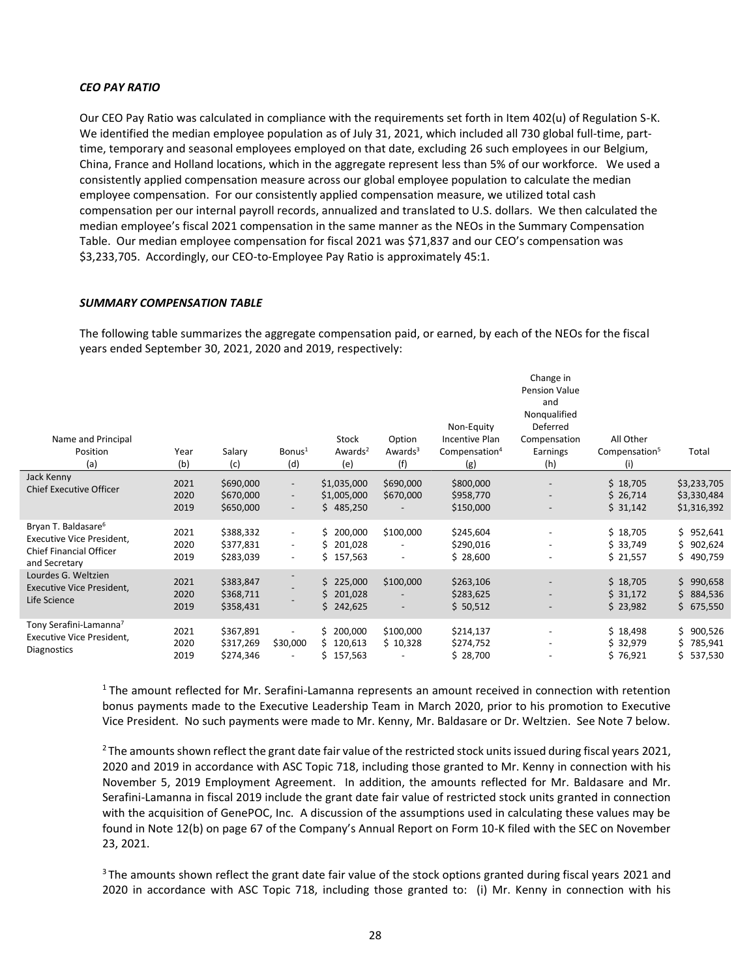#### *CEO PAY RATIO*

Our CEO Pay Ratio was calculated in compliance with the requirements set forth in Item 402(u) of Regulation S-K. We identified the median employee population as of July 31, 2021, which included all 730 global full-time, parttime, temporary and seasonal employees employed on that date, excluding 26 such employees in our Belgium, China, France and Holland locations, which in the aggregate represent less than 5% of our workforce. We used a consistently applied compensation measure across our global employee population to calculate the median employee compensation. For our consistently applied compensation measure, we utilized total cash compensation per our internal payroll records, annualized and translated to U.S. dollars. We then calculated the median employee's fiscal 2021 compensation in the same manner as the NEOs in the Summary Compensation Table. Our median employee compensation for fiscal 2021 was \$71,837 and our CEO's compensation was \$3,233,705. Accordingly, our CEO-to-Employee Pay Ratio is approximately 45:1.

#### *SUMMARY COMPENSATION TABLE*

The following table summarizes the aggregate compensation paid, or earned, by each of the NEOs for the fiscal years ended September 30, 2021, 2020 and 2019, respectively:

| Name and Principal<br>Position<br>(a)                                                                                  | Year<br>(b)          | Salary<br>(c)                       | Bonus <sup>1</sup><br>(d)                                                        | Stock<br>Awards <sup>2</sup><br>(e)              | Option<br>Awards $3$<br>(f)                                       | Non-Equity<br>Incentive Plan<br>Compensation <sup>4</sup><br>(g) | Change in<br><b>Pension Value</b><br>and<br>Nonqualified<br>Deferred<br>Compensation<br>Earnings<br>(h) | All Other<br>Compensation <sup>5</sup><br>(i) | Total                                     |
|------------------------------------------------------------------------------------------------------------------------|----------------------|-------------------------------------|----------------------------------------------------------------------------------|--------------------------------------------------|-------------------------------------------------------------------|------------------------------------------------------------------|---------------------------------------------------------------------------------------------------------|-----------------------------------------------|-------------------------------------------|
| Jack Kenny<br><b>Chief Executive Officer</b>                                                                           | 2021<br>2020<br>2019 | \$690,000<br>\$670,000<br>\$650,000 | $\overline{\phantom{a}}$<br>$\overline{\phantom{a}}$<br>$\overline{\phantom{a}}$ | \$1,035,000<br>\$1,005,000<br>\$485,250          | \$690,000<br>\$670,000                                            | \$800,000<br>\$958,770<br>\$150,000                              | $\overline{\phantom{a}}$                                                                                | \$18,705<br>\$26,714<br>\$31,142              | \$3,233,705<br>\$3,330,484<br>\$1,316,392 |
| Bryan T. Baldasare <sup>6</sup><br><b>Executive Vice President,</b><br><b>Chief Financial Officer</b><br>and Secretary | 2021<br>2020<br>2019 | \$388,332<br>\$377,831<br>\$283,039 | $\overline{\phantom{a}}$<br>$\overline{\phantom{a}}$<br>$\overline{\phantom{a}}$ | \$200,000<br>Ś.<br>201,028<br>\$157,563          | \$100,000<br>$\overline{\phantom{a}}$                             | \$245,604<br>\$290,016<br>\$28,600                               | $\overline{\phantom{a}}$<br>$\overline{\phantom{a}}$                                                    | \$18,705<br>\$33,749<br>\$21,557              | \$952,641<br>\$902,624<br>\$490,759       |
| Lourdes G. Weltzien<br><b>Executive Vice President,</b><br>Life Science                                                | 2021<br>2020<br>2019 | \$383,847<br>\$368,711<br>\$358,431 |                                                                                  | 225,000<br>Ś.<br>201,028<br>\$<br>\$242,625      | \$100,000<br>$\overline{\phantom{a}}$<br>$\overline{\phantom{a}}$ | \$263,106<br>\$283,625<br>\$50,512                               | $\overline{\phantom{a}}$<br>$\overline{\phantom{a}}$                                                    | \$18,705<br>\$31,172<br>\$23,982              | \$990,658<br>\$884,536<br>\$675,550       |
| Tony Serafini-Lamanna <sup>7</sup><br><b>Executive Vice President,</b><br><b>Diagnostics</b>                           | 2021<br>2020<br>2019 | \$367,891<br>\$317,269<br>\$274,346 | \$30,000<br>$\overline{\phantom{a}}$                                             | \$.<br>200,000<br>120,613<br>S.<br>Ś.<br>157,563 | \$100,000<br>\$10,328                                             | \$214,137<br>\$274,752<br>\$28,700                               |                                                                                                         | \$18,498<br>\$32,979<br>\$76,921              | \$900,526<br>Ś.<br>785,941<br>\$537,530   |

<sup>1</sup> The amount reflected for Mr. Serafini-Lamanna represents an amount received in connection with retention bonus payments made to the Executive Leadership Team in March 2020, prior to his promotion to Executive Vice President. No such payments were made to Mr. Kenny, Mr. Baldasare or Dr. Weltzien. See Note 7 below.

 $2$  The amounts shown reflect the grant date fair value of the restricted stock units issued during fiscal years 2021, 2020 and 2019 in accordance with ASC Topic 718, including those granted to Mr. Kenny in connection with his November 5, 2019 Employment Agreement. In addition, the amounts reflected for Mr. Baldasare and Mr. Serafini-Lamanna in fiscal 2019 include the grant date fair value of restricted stock units granted in connection with the acquisition of GenePOC, Inc. A discussion of the assumptions used in calculating these values may be found in Note 12(b) on page 67 of the Company's Annual Report on Form 10-K filed with the SEC on November 23, 2021.

<sup>3</sup> The amounts shown reflect the grant date fair value of the stock options granted during fiscal years 2021 and 2020 in accordance with ASC Topic 718, including those granted to: (i) Mr. Kenny in connection with his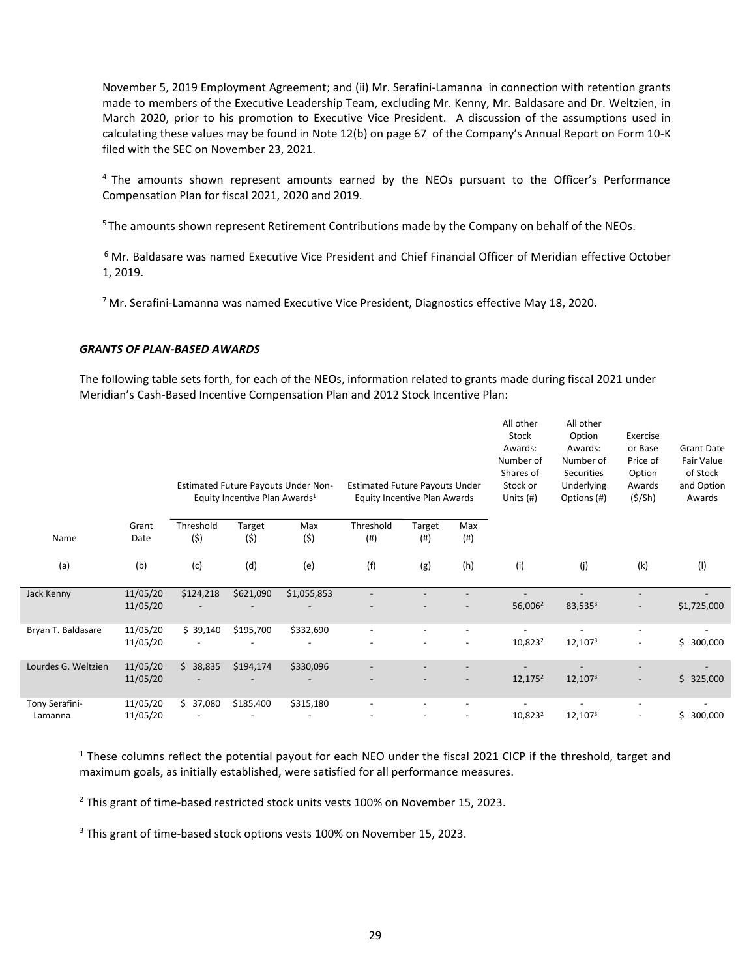November 5, 2019 Employment Agreement; and (ii) Mr. Serafini-Lamanna in connection with retention grants made to members of the Executive Leadership Team, excluding Mr. Kenny, Mr. Baldasare and Dr. Weltzien, in March 2020, prior to his promotion to Executive Vice President. A discussion of the assumptions used in calculating these values may be found in Note 12(b) on page 67 of the Company's Annual Report on Form 10-K filed with the SEC on November 23, 2021.

 $4$  The amounts shown represent amounts earned by the NEOs pursuant to the Officer's Performance Compensation Plan for fiscal 2021, 2020 and 2019.

<sup>5</sup> The amounts shown represent Retirement Contributions made by the Company on behalf of the NEOs.

<sup>6</sup> Mr. Baldasare was named Executive Vice President and Chief Financial Officer of Meridian effective October 1, 2019.

 $7$  Mr. Serafini-Lamanna was named Executive Vice President, Diagnostics effective May 18, 2020.

#### *GRANTS OF PLAN-BASED AWARDS*

The following table sets forth, for each of the NEOs, information related to grants made during fiscal 2021 under Meridian's Cash-Based Incentive Compensation Plan and 2012 Stock Incentive Plan:

|                           |                      |                  | Equity Incentive Plan Awards <sup>1</sup> | Estimated Future Payouts Under Non- | <b>Estimated Future Payouts Under</b><br>Equity Incentive Plan Awards |               |             | All other<br>Stock<br>Awards:<br>Number of<br>Shares of<br>Stock or<br>Units $(H)$ | All other<br>Option<br>Awards:<br>Number of<br>Securities<br>Underlying<br>Options (#) | Exercise<br>or Base<br>Price of<br>Option<br>Awards<br>(5/Sh) | <b>Grant Date</b><br>Fair Value<br>of Stock<br>and Option<br>Awards |
|---------------------------|----------------------|------------------|-------------------------------------------|-------------------------------------|-----------------------------------------------------------------------|---------------|-------------|------------------------------------------------------------------------------------|----------------------------------------------------------------------------------------|---------------------------------------------------------------|---------------------------------------------------------------------|
| Name                      | Grant<br>Date        | Threshold<br>(5) | Target<br>(\$)                            | Max<br>(\$)                         | Threshold<br>(# )                                                     | Target<br>(#) | Max<br>(# ) |                                                                                    |                                                                                        |                                                               |                                                                     |
| (a)                       | (b)                  | (c)              | (d)                                       | (e)                                 | (f)                                                                   | (g)           | (h)         | (i)                                                                                | (j)                                                                                    | (k)                                                           | (1)                                                                 |
| Jack Kenny                | 11/05/20<br>11/05/20 | \$124,218        | \$621,090                                 | \$1,055,853                         |                                                                       |               |             | 56,006 <sup>2</sup>                                                                | $83,535^3$                                                                             |                                                               | \$1,725,000                                                         |
| Bryan T. Baldasare        | 11/05/20<br>11/05/20 | \$39,140         | \$195,700                                 | \$332,690                           |                                                                       |               |             | 10,823 <sup>2</sup>                                                                | 12,1073                                                                                |                                                               | \$300,000                                                           |
| Lourdes G. Weltzien       | 11/05/20<br>11/05/20 | \$38,835         | \$194,174                                 | \$330,096                           |                                                                       |               |             | $12,175^2$                                                                         | 12,107 <sup>3</sup>                                                                    |                                                               | \$325,000                                                           |
| Tony Serafini-<br>Lamanna | 11/05/20<br>11/05/20 | \$37,080         | \$185,400                                 | \$315,180                           |                                                                       |               |             | 10,823 <sup>2</sup>                                                                | 12,1073                                                                                |                                                               | 300,000<br>\$.                                                      |

 $1$  These columns reflect the potential payout for each NEO under the fiscal 2021 CICP if the threshold, target and maximum goals, as initially established, were satisfied for all performance measures.

<sup>2</sup> This grant of time-based restricted stock units vests 100% on November 15, 2023.

<sup>3</sup> This grant of time-based stock options vests 100% on November 15, 2023.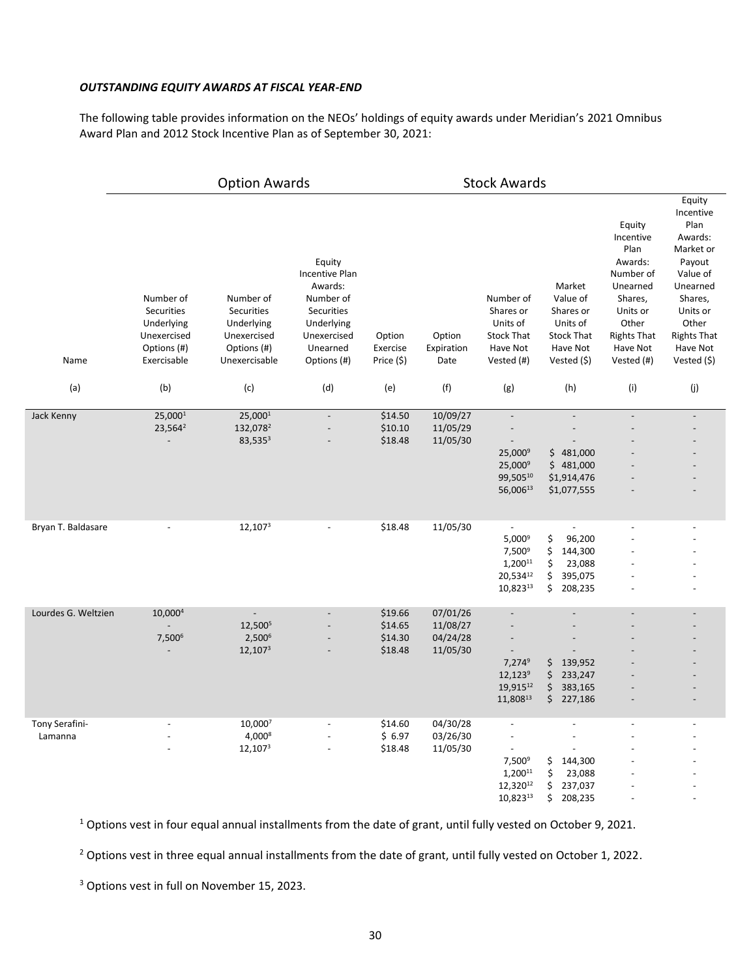#### *OUTSTANDING EQUITY AWARDS AT FISCAL YEAR-END*

The following table provides information on the NEOs' holdings of equity awards under Meridian's 2021 Omnibus Award Plan and 2012 Stock Incentive Plan as of September 30, 2021:

|                           |                                                                                    | <b>Option Awards</b>                                                                 |                                                                                                                        |                                          | <b>Stock Awards</b>                          |                                                                                      |                                                                                                             |                                                                                                                                                 |                                                                                                                                                                        |
|---------------------------|------------------------------------------------------------------------------------|--------------------------------------------------------------------------------------|------------------------------------------------------------------------------------------------------------------------|------------------------------------------|----------------------------------------------|--------------------------------------------------------------------------------------|-------------------------------------------------------------------------------------------------------------|-------------------------------------------------------------------------------------------------------------------------------------------------|------------------------------------------------------------------------------------------------------------------------------------------------------------------------|
| Name                      | Number of<br>Securities<br>Underlying<br>Unexercised<br>Options (#)<br>Exercisable | Number of<br>Securities<br>Underlying<br>Unexercised<br>Options (#)<br>Unexercisable | Equity<br>Incentive Plan<br>Awards:<br>Number of<br>Securities<br>Underlying<br>Unexercised<br>Unearned<br>Options (#) | Option<br>Exercise<br>Price (\$)         | Option<br>Expiration<br>Date                 | Number of<br>Shares or<br>Units of<br><b>Stock That</b><br>Have Not<br>Vested (#)    | Market<br>Value of<br>Shares or<br>Units of<br><b>Stock That</b><br>Have Not<br>Vested (\$)                 | Equity<br>Incentive<br>Plan<br>Awards:<br>Number of<br>Unearned<br>Shares,<br>Units or<br>Other<br><b>Rights That</b><br>Have Not<br>Vested (#) | Equity<br>Incentive<br>Plan<br>Awards:<br>Market or<br>Payout<br>Value of<br>Unearned<br>Shares,<br>Units or<br>Other<br><b>Rights That</b><br>Have Not<br>Vested (\$) |
| (a)                       | (b)                                                                                | (c)                                                                                  | (d)                                                                                                                    | (e)                                      | (f)                                          | (g)                                                                                  | (h)                                                                                                         | (i)                                                                                                                                             | (j)                                                                                                                                                                    |
| Jack Kenny                | 25,0001<br>23,564 <sup>2</sup>                                                     | 25,0001<br>132,078 <sup>2</sup><br>83,5353                                           |                                                                                                                        | \$14.50<br>\$10.10<br>\$18.48            | 10/09/27<br>11/05/29<br>11/05/30             | $\overline{a}$<br>25,000 <sup>9</sup><br>25,000 <sup>9</sup><br>99,50510<br>56,00613 | $\overline{a}$<br>\$481,000<br>\$481,000<br>\$1,914,476<br>\$1,077,555                                      | $\overline{a}$                                                                                                                                  |                                                                                                                                                                        |
| Bryan T. Baldasare        |                                                                                    | 12,1073                                                                              |                                                                                                                        | \$18.48                                  | 11/05/30                                     | $\overline{\phantom{a}}$<br>$5,000^9$<br>7,5009<br>1,20011<br>20,53412<br>10,82313   | $\overline{\phantom{a}}$<br>\$<br>96,200<br>\$<br>144,300<br>\$<br>23,088<br>\$<br>395,075<br>\$<br>208,235 | $\blacksquare$                                                                                                                                  |                                                                                                                                                                        |
| Lourdes G. Weltzien       | 10,000 <sup>4</sup><br>7,5006                                                      | 12,5005<br>2,500 <sup>6</sup><br>12,1073                                             |                                                                                                                        | \$19.66<br>\$14.65<br>\$14.30<br>\$18.48 | 07/01/26<br>11/08/27<br>04/24/28<br>11/05/30 | $7,274^9$<br>$12,123^9$<br>19,91512<br>11,80813                                      | \$<br>139,952<br>\$<br>233,247<br>\$<br>383,165<br>\$227,186                                                |                                                                                                                                                 |                                                                                                                                                                        |
| Tony Serafini-<br>Lamanna |                                                                                    | 10,0007<br>4,0008<br>12,1073                                                         |                                                                                                                        | \$14.60<br>\$6.97<br>\$18.48             | 04/30/28<br>03/26/30<br>11/05/30             | $\overline{\phantom{a}}$<br>$7,500^9$<br>1,20011<br>12,32012<br>$10,823^{13}$        | \$<br>144,300<br>\$<br>23,088<br>\$<br>237,037<br>\$<br>208,235                                             |                                                                                                                                                 |                                                                                                                                                                        |

<sup>1</sup> Options vest in four equal annual installments from the date of grant, until fully vested on October 9, 2021.

<sup>2</sup> Options vest in three equal annual installments from the date of grant, until fully vested on October 1, 2022.

<sup>3</sup> Options vest in full on November 15, 2023.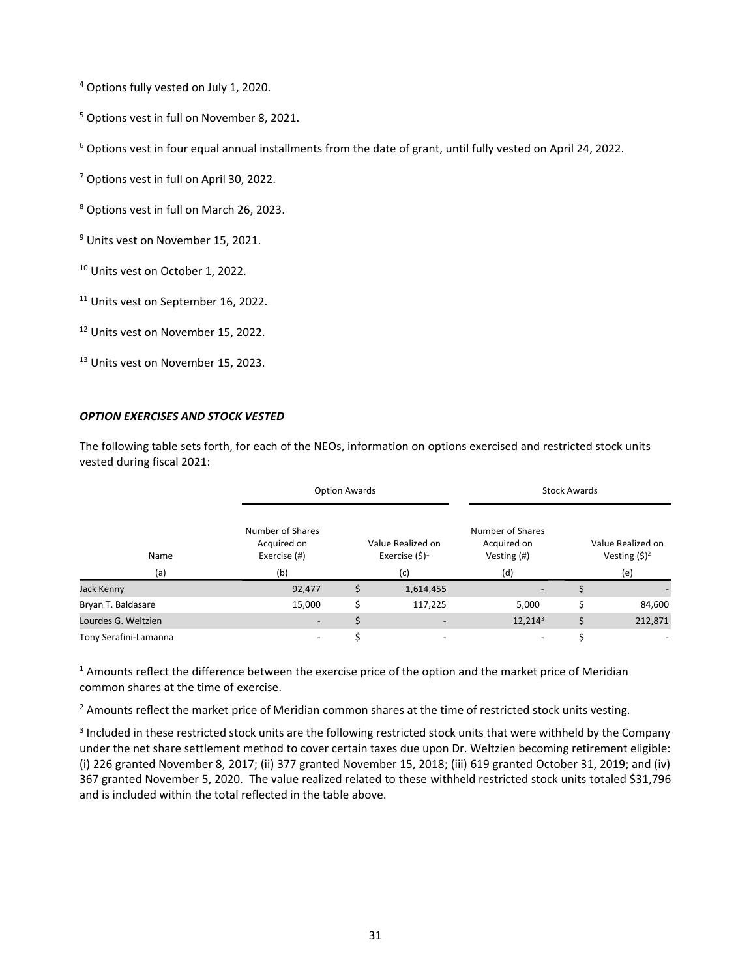<sup>4</sup> Options fully vested on July 1, 2020.

<sup>5</sup> Options vest in full on November 8, 2021.

 $6$  Options vest in four equal annual installments from the date of grant, until fully vested on April 24, 2022.

<sup>7</sup> Options vest in full on April 30, 2022.

<sup>8</sup> Options vest in full on March 26, 2023.

<sup>9</sup> Units vest on November 15, 2021.

<sup>10</sup> Units vest on October 1, 2022.

<sup>11</sup> Units vest on September 16, 2022.

<sup>12</sup> Units vest on November 15, 2022.

<sup>13</sup> Units vest on November 15, 2023.

#### *OPTION EXERCISES AND STOCK VESTED*

The following table sets forth, for each of the NEOs, information on options exercised and restricted stock units vested during fiscal 2021:

|                       |                                                 | <b>Option Awards</b> |                          | <b>Stock Awards</b>                            |    |                                      |  |  |
|-----------------------|-------------------------------------------------|----------------------|--------------------------|------------------------------------------------|----|--------------------------------------|--|--|
| Name                  | Number of Shares<br>Acquired on<br>Exercise (#) | Value Realized on    |                          | Number of Shares<br>Acquired on<br>Vesting (#) |    | Value Realized on<br>Vesting $(5)^2$ |  |  |
| (a)                   | (b)                                             |                      | (c)                      | (d)                                            |    | (e)                                  |  |  |
| Jack Kenny            | 92,477                                          |                      | 1,614,455                |                                                |    |                                      |  |  |
| Bryan T. Baldasare    | 15,000                                          |                      | 117,225                  | 5,000                                          | Ś  | 84,600                               |  |  |
| Lourdes G. Weltzien   |                                                 |                      |                          | 12,2143                                        | \$ | 212,871                              |  |  |
| Tony Serafini-Lamanna | $\overline{\phantom{a}}$                        |                      | $\overline{\phantom{a}}$ | $\overline{\phantom{a}}$                       | \$ | $\overline{\phantom{0}}$             |  |  |

 $1$  Amounts reflect the difference between the exercise price of the option and the market price of Meridian common shares at the time of exercise.

 $<sup>2</sup>$  Amounts reflect the market price of Meridian common shares at the time of restricted stock units vesting.</sup>

<sup>3</sup> Included in these restricted stock units are the following restricted stock units that were withheld by the Company under the net share settlement method to cover certain taxes due upon Dr. Weltzien becoming retirement eligible: (i) 226 granted November 8, 2017; (ii) 377 granted November 15, 2018; (iii) 619 granted October 31, 2019; and (iv) 367 granted November 5, 2020. The value realized related to these withheld restricted stock units totaled \$31,796 and is included within the total reflected in the table above.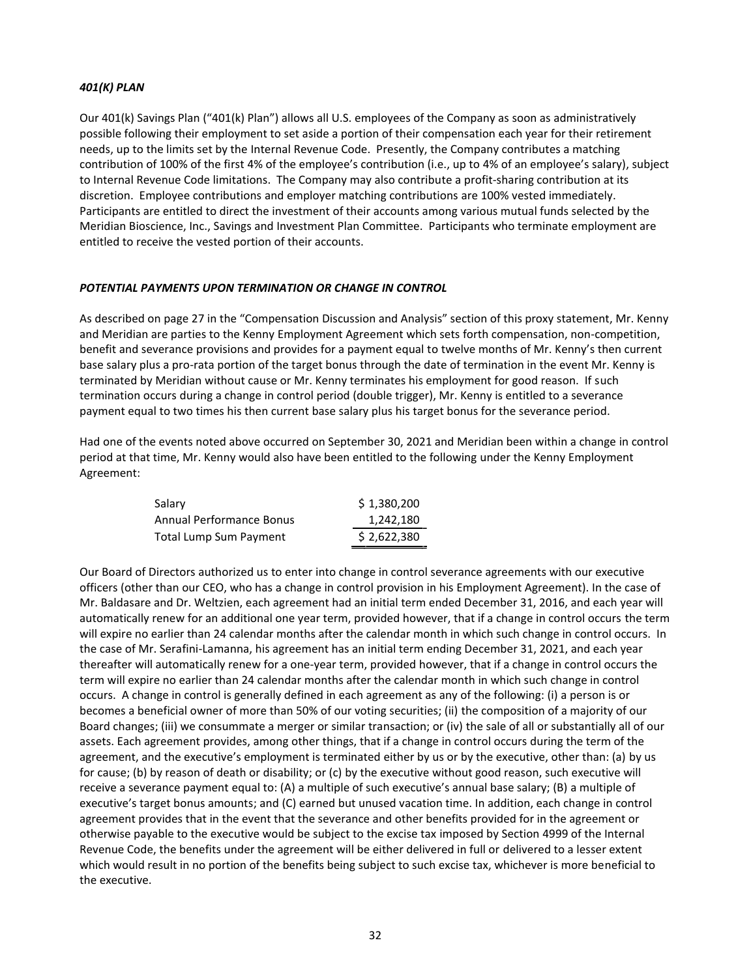## *401(K) PLAN*

Our 401(k) Savings Plan ("401(k) Plan") allows all U.S. employees of the Company as soon as administratively possible following their employment to set aside a portion of their compensation each year for their retirement needs, up to the limits set by the Internal Revenue Code. Presently, the Company contributes a matching contribution of 100% of the first 4% of the employee's contribution (i.e., up to 4% of an employee's salary), subject to Internal Revenue Code limitations. The Company may also contribute a profit-sharing contribution at its discretion. Employee contributions and employer matching contributions are 100% vested immediately. Participants are entitled to direct the investment of their accounts among various mutual funds selected by the Meridian Bioscience, Inc., Savings and Investment Plan Committee. Participants who terminate employment are entitled to receive the vested portion of their accounts.

## *POTENTIAL PAYMENTS UPON TERMINATION OR CHANGE IN CONTROL*

As described on page 27 in the "Compensation Discussion and Analysis" section of this proxy statement, Mr. Kenny and Meridian are parties to the Kenny Employment Agreement which sets forth compensation, non-competition, benefit and severance provisions and provides for a payment equal to twelve months of Mr. Kenny's then current base salary plus a pro-rata portion of the target bonus through the date of termination in the event Mr. Kenny is terminated by Meridian without cause or Mr. Kenny terminates his employment for good reason. If such termination occurs during a change in control period (double trigger), Mr. Kenny is entitled to a severance payment equal to two times his then current base salary plus his target bonus for the severance period.

Had one of the events noted above occurred on September 30, 2021 and Meridian been within a change in control period at that time, Mr. Kenny would also have been entitled to the following under the Kenny Employment Agreement:

| Salary                          | \$1,380,200 |
|---------------------------------|-------------|
| <b>Annual Performance Bonus</b> | 1,242,180   |
| <b>Total Lump Sum Payment</b>   | \$2,622,380 |

Our Board of Directors authorized us to enter into change in control severance agreements with our executive officers (other than our CEO, who has a change in control provision in his Employment Agreement). In the case of Mr. Baldasare and Dr. Weltzien, each agreement had an initial term ended December 31, 2016, and each year will automatically renew for an additional one year term, provided however, that if a change in control occurs the term will expire no earlier than 24 calendar months after the calendar month in which such change in control occurs. In the case of Mr. Serafini-Lamanna, his agreement has an initial term ending December 31, 2021, and each year thereafter will automatically renew for a one-year term, provided however, that if a change in control occurs the term will expire no earlier than 24 calendar months after the calendar month in which such change in control occurs. A change in control is generally defined in each agreement as any of the following: (i) a person is or becomes a beneficial owner of more than 50% of our voting securities; (ii) the composition of a majority of our Board changes; (iii) we consummate a merger or similar transaction; or (iv) the sale of all or substantially all of our assets. Each agreement provides, among other things, that if a change in control occurs during the term of the agreement, and the executive's employment is terminated either by us or by the executive, other than: (a) by us for cause; (b) by reason of death or disability; or (c) by the executive without good reason, such executive will receive a severance payment equal to: (A) a multiple of such executive's annual base salary; (B) a multiple of executive's target bonus amounts; and (C) earned but unused vacation time. In addition, each change in control agreement provides that in the event that the severance and other benefits provided for in the agreement or otherwise payable to the executive would be subject to the excise tax imposed by Section 4999 of the Internal Revenue Code, the benefits under the agreement will be either delivered in full or delivered to a lesser extent which would result in no portion of the benefits being subject to such excise tax, whichever is more beneficial to the executive.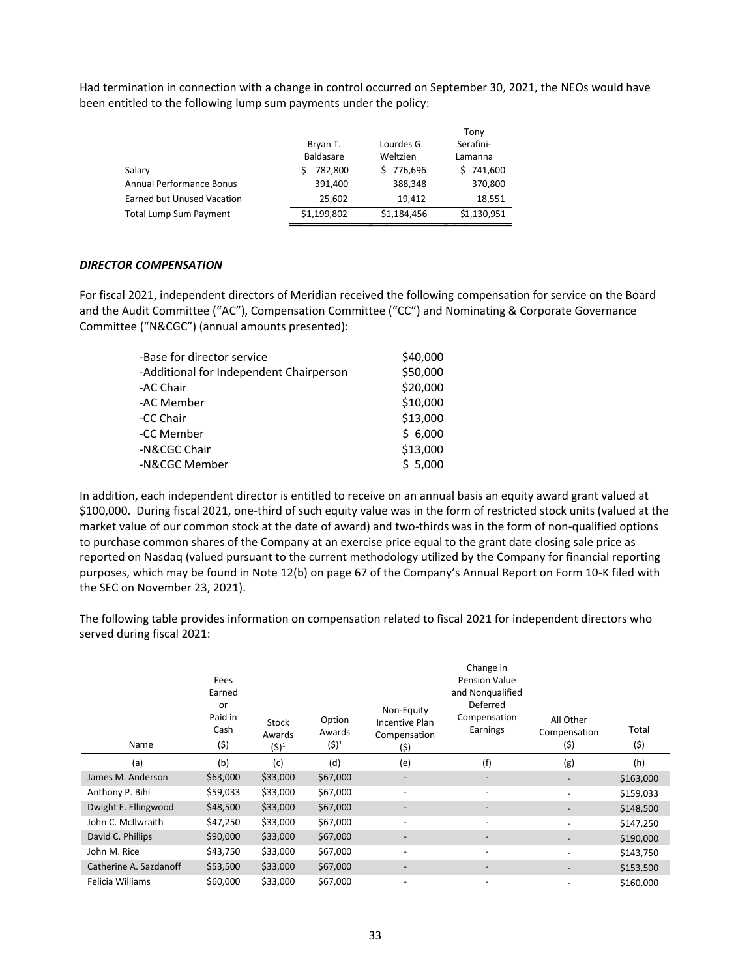Had termination in connection with a change in control occurred on September 30, 2021, the NEOs would have been entitled to the following lump sum payments under the policy:

|                  |             | Tony        |
|------------------|-------------|-------------|
| Bryan T.         | Lourdes G.  | Serafini-   |
| <b>Baldasare</b> | Weltzien    | Lamanna     |
| 782.800          | \$776,696   | \$741,600   |
| 391,400          | 388,348     | 370,800     |
| 25,602           | 19.412      | 18,551      |
| \$1,199,802      | \$1,184,456 | \$1,130,951 |
|                  |             |             |

#### *DIRECTOR COMPENSATION*

For fiscal 2021, independent directors of Meridian received the following compensation for service on the Board and the Audit Committee ("AC"), Compensation Committee ("CC") and Nominating & Corporate Governance Committee ("N&CGC") (annual amounts presented):

| -Base for director service              | \$40,000 |
|-----------------------------------------|----------|
| -Additional for Independent Chairperson | \$50,000 |
| -AC Chair                               | \$20,000 |
| -AC Member                              | \$10,000 |
| -CC Chair                               | \$13,000 |
| -CC Member                              | \$6,000  |
| -N&CGC Chair                            | \$13,000 |
| -N&CGC Member                           | \$5,000  |

In addition, each independent director is entitled to receive on an annual basis an equity award grant valued at \$100,000. During fiscal 2021, one-third of such equity value was in the form of restricted stock units (valued at the market value of our common stock at the date of award) and two-thirds was in the form of non-qualified options to purchase common shares of the Company at an exercise price equal to the grant date closing sale price as reported on Nasdaq (valued pursuant to the current methodology utilized by the Company for financial reporting purposes, which may be found in Note 12(b) on page 67 of the Company's Annual Report on Form 10-K filed with the SEC on November 23, 2021).

The following table provides information on compensation related to fiscal 2021 for independent directors who served during fiscal 2021:

| Name                   | Fees<br>Earned<br>or<br>Paid in<br>Cash<br>(\$) | <b>Stock</b><br>Awards<br>$(5)^1$ | Option<br>Awards<br>$(5)^1$ | Non-Equity<br>Incentive Plan<br>Compensation<br>(\$) | Change in<br><b>Pension Value</b><br>and Nongualified<br>Deferred<br>Compensation<br>Earnings | All Other<br>Compensation<br>(\$) | Total<br>(5) |
|------------------------|-------------------------------------------------|-----------------------------------|-----------------------------|------------------------------------------------------|-----------------------------------------------------------------------------------------------|-----------------------------------|--------------|
| (a)                    | (b)                                             | (c)                               | (d)                         | (e)                                                  | (f)                                                                                           | (g)                               | (h)          |
| James M. Anderson      | \$63,000                                        | \$33,000                          | \$67,000                    | $\overline{\phantom{a}}$                             | $\overline{\phantom{m}}$                                                                      | -                                 | \$163,000    |
| Anthony P. Bihl        | \$59,033                                        | \$33,000                          | \$67,000                    | $\overline{\phantom{0}}$                             |                                                                                               |                                   | \$159,033    |
| Dwight E. Ellingwood   | \$48,500                                        | \$33,000                          | \$67,000                    | $\qquad \qquad -$                                    |                                                                                               |                                   | \$148,500    |
| John C. McIlwraith     | \$47,250                                        | \$33,000                          | \$67,000                    | $\overline{\phantom{a}}$                             | $\overline{\phantom{a}}$                                                                      |                                   | \$147,250    |
| David C. Phillips      | \$90,000                                        | \$33,000                          | \$67,000                    | $\qquad \qquad -$                                    | $\overline{\phantom{a}}$                                                                      |                                   | \$190,000    |
| John M. Rice           | \$43,750                                        | \$33,000                          | \$67,000                    | $\overline{\phantom{a}}$                             | $\overline{\phantom{a}}$                                                                      | -                                 | \$143,750    |
| Catherine A. Sazdanoff | \$53,500                                        | \$33,000                          | \$67,000                    | $\overline{\phantom{a}}$                             | $\overline{\phantom{m}}$                                                                      |                                   | \$153,500    |
| Felicia Williams       | \$60,000                                        | \$33,000                          | \$67,000                    | $\overline{\phantom{a}}$                             | $\overline{\phantom{a}}$                                                                      | -                                 | \$160,000    |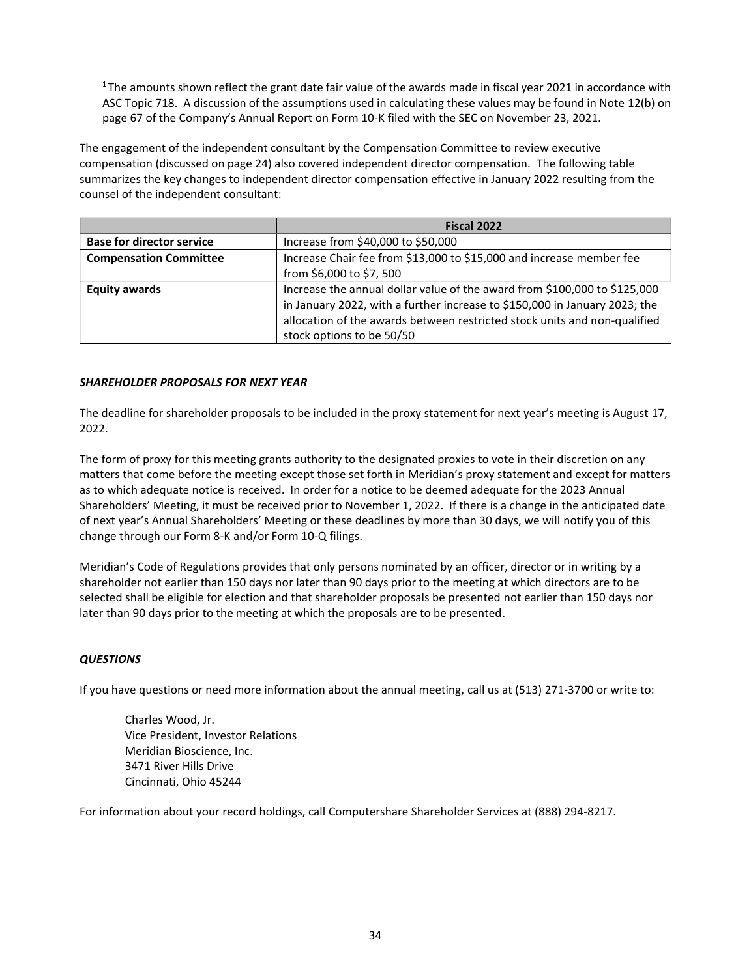<sup>1</sup>The amounts shown reflect the grant date fair value of the awards made in fiscal year 2021 in accordance with ASC Topic 718. A discussion of the assumptions used in calculating these values may be found in Note 12(b) on page 67 of the Company's Annual Report on Form 10-K filed with the SEC on November 23, 2021.

The engagement of the independent consultant by the Compensation Committee to review executive compensation (discussed on page 24) also covered independent director compensation. The following table summarizes the key changes to independent director compensation effective in January 2022 resulting from the counsel of the independent consultant:

|                                  | Fiscal 2022                                                                |
|----------------------------------|----------------------------------------------------------------------------|
| <b>Base for director service</b> | Increase from \$40,000 to \$50,000                                         |
| <b>Compensation Committee</b>    | Increase Chair fee from \$13,000 to \$15,000 and increase member fee       |
|                                  | from \$6,000 to \$7,500                                                    |
| <b>Equity awards</b>             | Increase the annual dollar value of the award from \$100,000 to \$125,000  |
|                                  | in January 2022, with a further increase to \$150,000 in January 2023; the |
|                                  | allocation of the awards between restricted stock units and non-qualified  |
|                                  | stock options to be 50/50                                                  |

## *SHAREHOLDER PROPOSALS FOR NEXT YEAR*

The deadline for shareholder proposals to be included in the proxy statement for next year's meeting is August 17, 2022.

The form of proxy for this meeting grants authority to the designated proxies to vote in their discretion on any matters that come before the meeting except those set forth in Meridian's proxy statement and except for matters as to which adequate notice is received. In order for a notice to be deemed adequate for the 2023 Annual Shareholders' Meeting, it must be received prior to November 1, 2022. If there is a change in the anticipated date of next year's Annual Shareholders' Meeting or these deadlines by more than 30 days, we will notify you of this change through our Form 8-K and/or Form 10-Q filings.

Meridian's Code of Regulations provides that only persons nominated by an officer, director or in writing by a shareholder not earlier than 150 days nor later than 90 days prior to the meeting at which directors are to be selected shall be eligible for election and that shareholder proposals be presented not earlier than 150 days nor later than 90 days prior to the meeting at which the proposals are to be presented.

# *QUESTIONS*

If you have questions or need more information about the annual meeting, call us at (513) 271-3700 or write to:

Charles Wood, Jr. Vice President, Investor Relations Meridian Bioscience, Inc. 3471 River Hills Drive Cincinnati, Ohio 45244

For information about your record holdings, call Computershare Shareholder Services at (888) 294-8217.